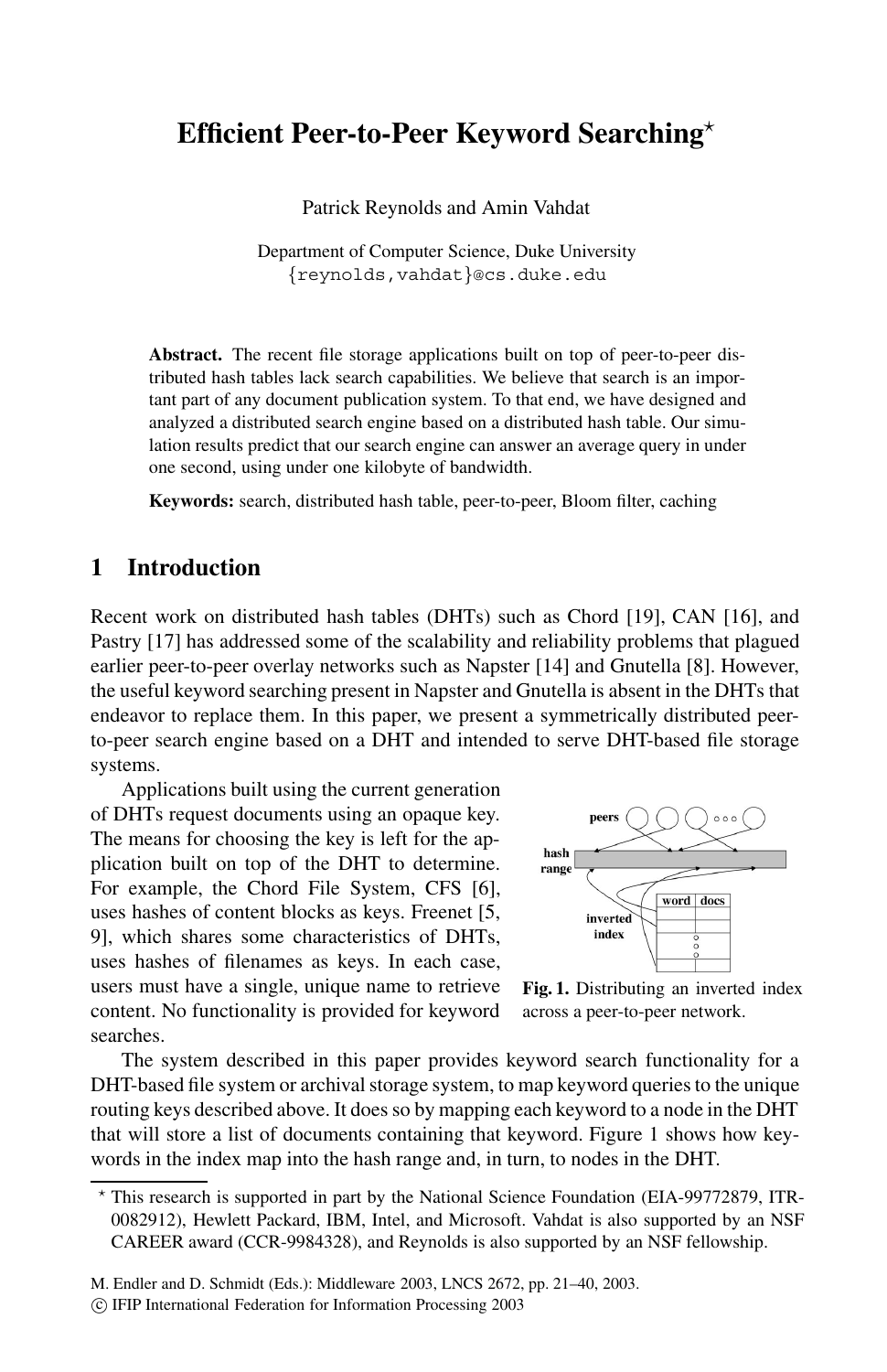# **Efficient Peer-to-Peer Keyword Searching**

Patrick Reynolds and Amin Vahdat

Department of Computer Science, Duke University *{*reynolds,vahdat*}*@cs.duke.edu

**Abstract.** The recent file storage applications built on top of peer-to-peer distributed hash tables lack search capabilities. We believe that search is an important part of any document publication system. To that end, we have designed and analyzed a distributed search engine based on a distributed hash table. Our simulation results predict that our search engine can answer an average query in under one second, using under one kilobyte of bandwidth.

**Keywords:** search, distributed hash table, peer-to-peer, Bloom filter, caching

## **1 Introduction**

Recent work on distributed hash tables (DHTs) such as Chord [19], CAN [16], and Pastry [17] has addressed some of the scalability and reliability problems that plagued earlier peer-to-peer overlay networks such as Napster [14] and Gnutella [8]. However, the useful keyword searching present in Napster and Gnutella is absent in the DHTs that endeavor to replace them. In this paper, we present a symmetrically distributed peerto-peer search engine based on a DHT and intended to serve DHT-based file storage systems.

Applications built using the current generation of DHTs request documents using an opaque key. The means for choosing the key is left for the application built on top of the DHT to determine. For example, the Chord File System, CFS [6], uses hashes of content blocks as keys. Freenet [5, 9], which shares some characteristics of DHTs, uses hashes of filenames as keys. In each case, users must have a single, unique name to retrieve content. No functionality is provided for keyword searches.



**Fig. 1.** Distributing an inverted index across a peer-to-peer network.

The system described in this paper provides keyword search functionality for a DHT-based file system or archival storage system, to map keyword queries to the unique routing keys described above. It does so by mapping each keyword to a node in the DHT that will store a list of documents containing that keyword. Figure 1 shows how keywords in the index map into the hash range and, in turn, to nodes in the DHT.

This research is supported in part by the National Science Foundation (EIA-99772879, ITR-0082912), Hewlett Packard, IBM, Intel, and Microsoft. Vahdat is also supported by an NSF CAREER award (CCR-9984328), and Reynolds is also supported by an NSF fellowship.

M. Endler and D. Schmidt (Eds.): Middleware 2003, LNCS 2672, pp. 21–40, 2003.

c IFIP International Federation for Information Processing 2003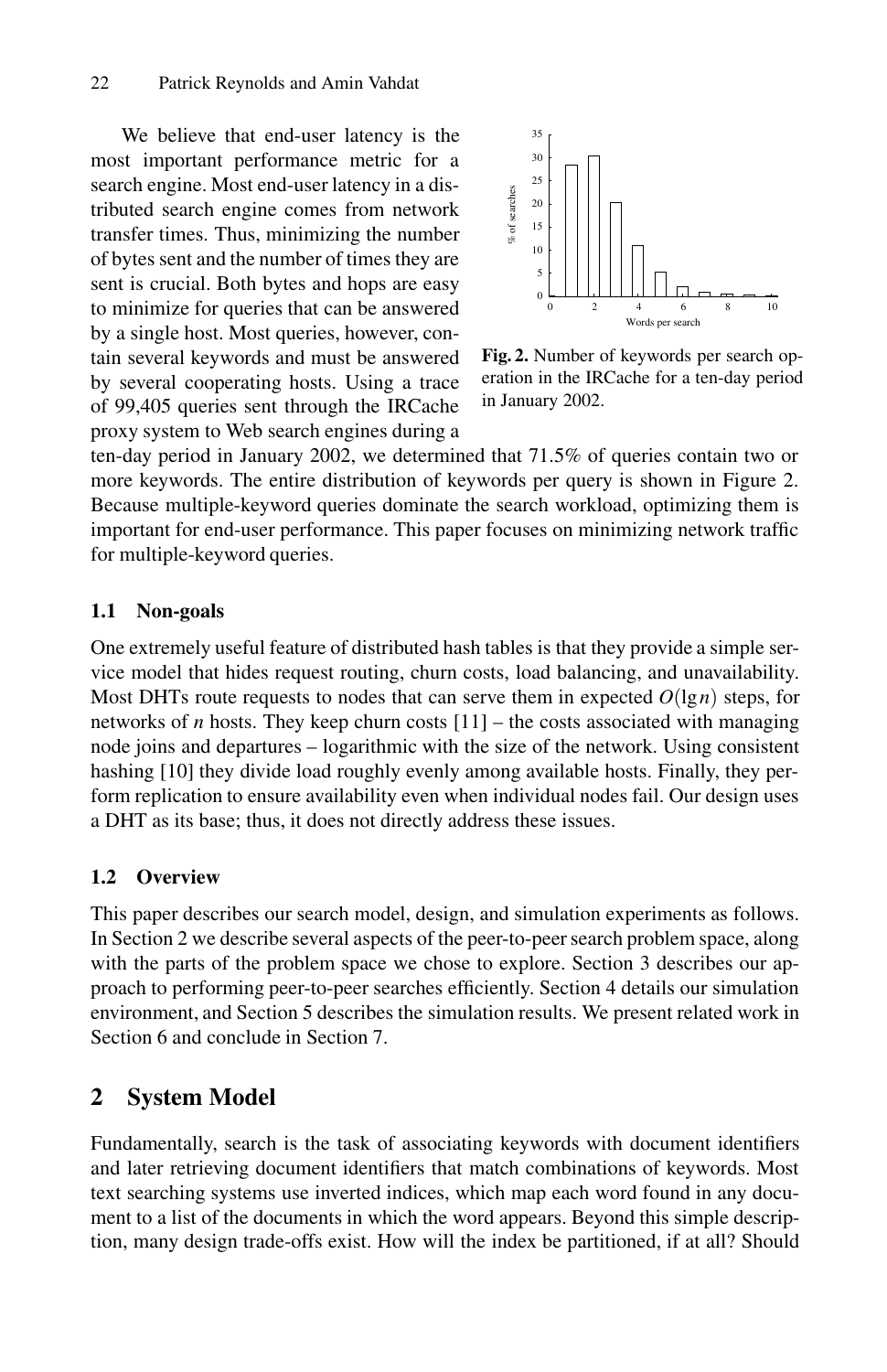We believe that end-user latency is the most important performance metric for a search engine. Most end-user latency in a distributed search engine comes from network transfer times. Thus, minimizing the number of bytes sent and the number of times they are sent is crucial. Both bytes and hops are easy to minimize for queries that can be answered by a single host. Most queries, however, contain several keywords and must be answered by several cooperating hosts. Using a trace of 99,405 queries sent through the IRCache proxy system to Web search engines during a



**Fig. 2.** Number of keywords per search operation in the IRCache for a ten-day period in January 2002.

ten-day period in January 2002, we determined that 71.5% of queries contain two or more keywords. The entire distribution of keywords per query is shown in Figure 2. Because multiple-keyword queries dominate the search workload, optimizing them is important for end-user performance. This paper focuses on minimizing network traffic for multiple-keyword queries.

## **1.1 Non-goals**

One extremely useful feature of distributed hash tables is that they provide a simple service model that hides request routing, churn costs, load balancing, and unavailability. Most DHTs route requests to nodes that can serve them in expected  $O(\lg n)$  steps, for networks of *n* hosts. They keep churn costs  $[11]$  – the costs associated with managing node joins and departures – logarithmic with the size of the network. Using consistent hashing [10] they divide load roughly evenly among available hosts. Finally, they perform replication to ensure availability even when individual nodes fail. Our design uses a DHT as its base; thus, it does not directly address these issues.

## **1.2 Overview**

This paper describes our search model, design, and simulation experiments as follows. In Section 2 we describe several aspects of the peer-to-peer search problem space, along with the parts of the problem space we chose to explore. Section 3 describes our approach to performing peer-to-peer searches efficiently. Section 4 details our simulation environment, and Section 5 describes the simulation results. We present related work in Section 6 and conclude in Section 7.

# **2 System Model**

Fundamentally, search is the task of associating keywords with document identifiers and later retrieving document identifiers that match combinations of keywords. Most text searching systems use inverted indices, which map each word found in any document to a list of the documents in which the word appears. Beyond this simple description, many design trade-offs exist. How will the index be partitioned, if at all? Should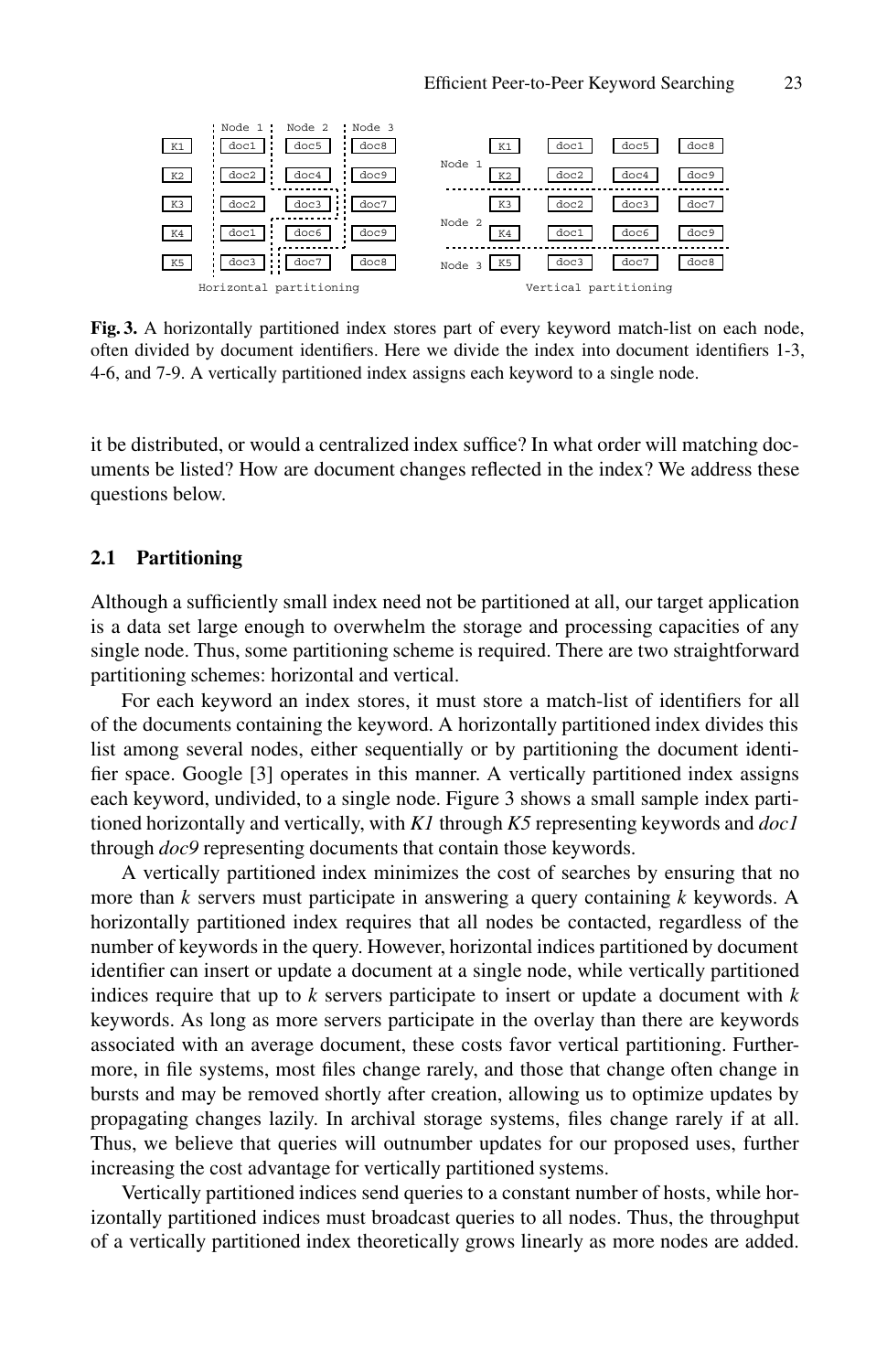

**Fig. 3.** A horizontally partitioned index stores part of every keyword match-list on each node, often divided by document identifiers. Here we divide the index into document identifiers 1-3, 4-6, and 7-9. A vertically partitioned index assigns each keyword to a single node.

it be distributed, or would a centralized index suffice? In what order will matching documents be listed? How are document changes reflected in the index? We address these questions below.

#### **2.1 Partitioning**

Although a sufficiently small index need not be partitioned at all, our target application is a data set large enough to overwhelm the storage and processing capacities of any single node. Thus, some partitioning scheme is required. There are two straightforward partitioning schemes: horizontal and vertical.

For each keyword an index stores, it must store a match-list of identifiers for all of the documents containing the keyword. A horizontally partitioned index divides this list among several nodes, either sequentially or by partitioning the document identifier space. Google [3] operates in this manner. A vertically partitioned index assigns each keyword, undivided, to a single node. Figure 3 shows a small sample index partitioned horizontally and vertically, with *K1* through *K5* representing keywords and *doc1* through *doc9* representing documents that contain those keywords.

A vertically partitioned index minimizes the cost of searches by ensuring that no more than *k* servers must participate in answering a query containing *k* keywords. A horizontally partitioned index requires that all nodes be contacted, regardless of the number of keywords in the query. However, horizontal indices partitioned by document identifier can insert or update a document at a single node, while vertically partitioned indices require that up to *k* servers participate to insert or update a document with *k* keywords. As long as more servers participate in the overlay than there are keywords associated with an average document, these costs favor vertical partitioning. Furthermore, in file systems, most files change rarely, and those that change often change in bursts and may be removed shortly after creation, allowing us to optimize updates by propagating changes lazily. In archival storage systems, files change rarely if at all. Thus, we believe that queries will outnumber updates for our proposed uses, further increasing the cost advantage for vertically partitioned systems.

Vertically partitioned indices send queries to a constant number of hosts, while horizontally partitioned indices must broadcast queries to all nodes. Thus, the throughput of a vertically partitioned index theoretically grows linearly as more nodes are added.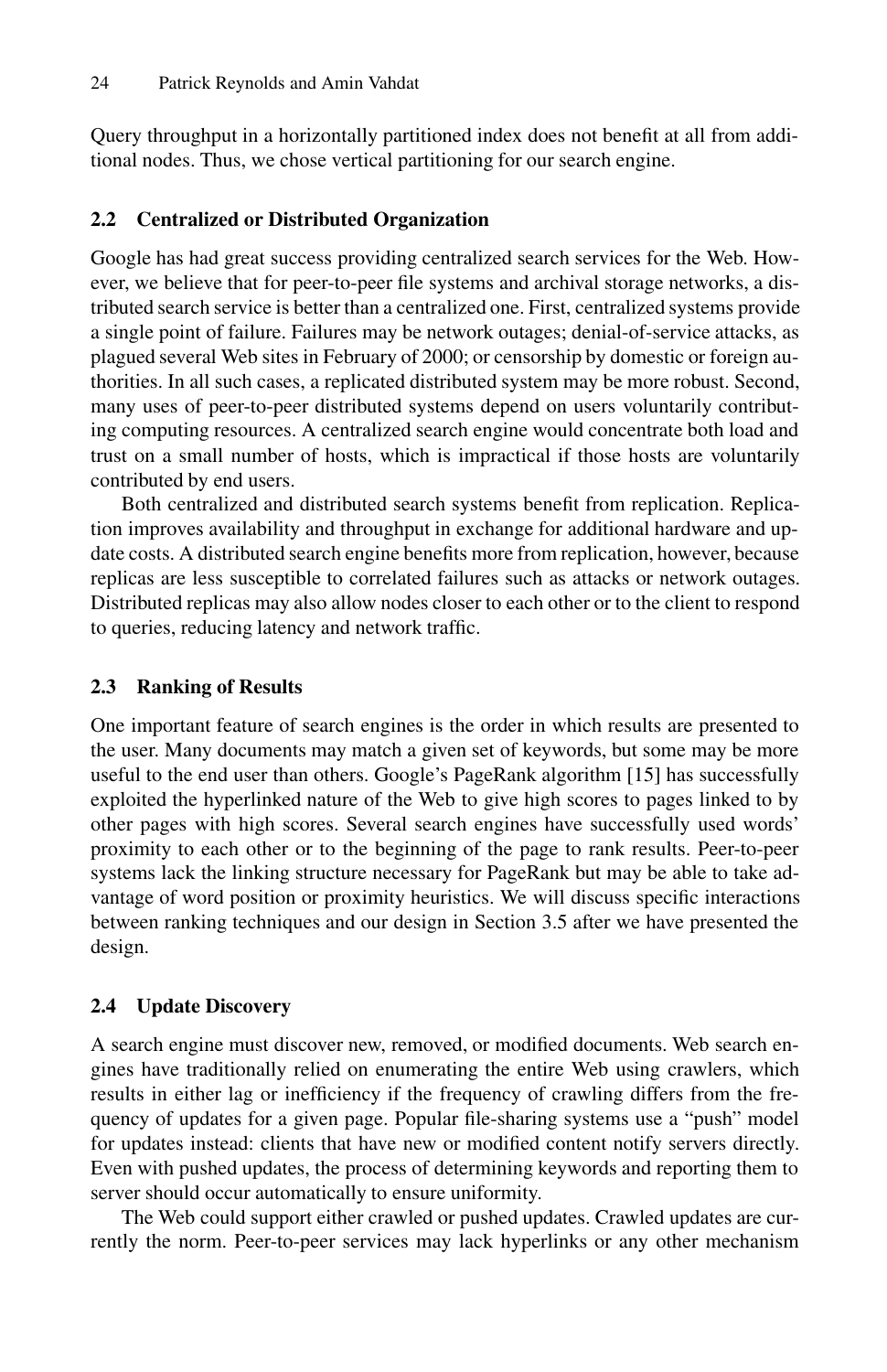Query throughput in a horizontally partitioned index does not benefit at all from additional nodes. Thus, we chose vertical partitioning for our search engine.

## **2.2 Centralized or Distributed Organization**

Google has had great success providing centralized search services for the Web. However, we believe that for peer-to-peer file systems and archival storage networks, a distributed search service is better than a centralized one. First, centralized systems provide a single point of failure. Failures may be network outages; denial-of-service attacks, as plagued several Web sites in February of 2000; or censorship by domestic or foreign authorities. In all such cases, a replicated distributed system may be more robust. Second, many uses of peer-to-peer distributed systems depend on users voluntarily contributing computing resources. A centralized search engine would concentrate both load and trust on a small number of hosts, which is impractical if those hosts are voluntarily contributed by end users.

Both centralized and distributed search systems benefit from replication. Replication improves availability and throughput in exchange for additional hardware and update costs. A distributed search engine benefits more from replication, however, because replicas are less susceptible to correlated failures such as attacks or network outages. Distributed replicas may also allow nodes closer to each other or to the client to respond to queries, reducing latency and network traffic.

## **2.3 Ranking of Results**

One important feature of search engines is the order in which results are presented to the user. Many documents may match a given set of keywords, but some may be more useful to the end user than others. Google's PageRank algorithm [15] has successfully exploited the hyperlinked nature of the Web to give high scores to pages linked to by other pages with high scores. Several search engines have successfully used words' proximity to each other or to the beginning of the page to rank results. Peer-to-peer systems lack the linking structure necessary for PageRank but may be able to take advantage of word position or proximity heuristics. We will discuss specific interactions between ranking techniques and our design in Section 3.5 after we have presented the design.

## **2.4 Update Discovery**

A search engine must discover new, removed, or modified documents. Web search engines have traditionally relied on enumerating the entire Web using crawlers, which results in either lag or inefficiency if the frequency of crawling differs from the frequency of updates for a given page. Popular file-sharing systems use a "push" model for updates instead: clients that have new or modified content notify servers directly. Even with pushed updates, the process of determining keywords and reporting them to server should occur automatically to ensure uniformity.

The Web could support either crawled or pushed updates. Crawled updates are currently the norm. Peer-to-peer services may lack hyperlinks or any other mechanism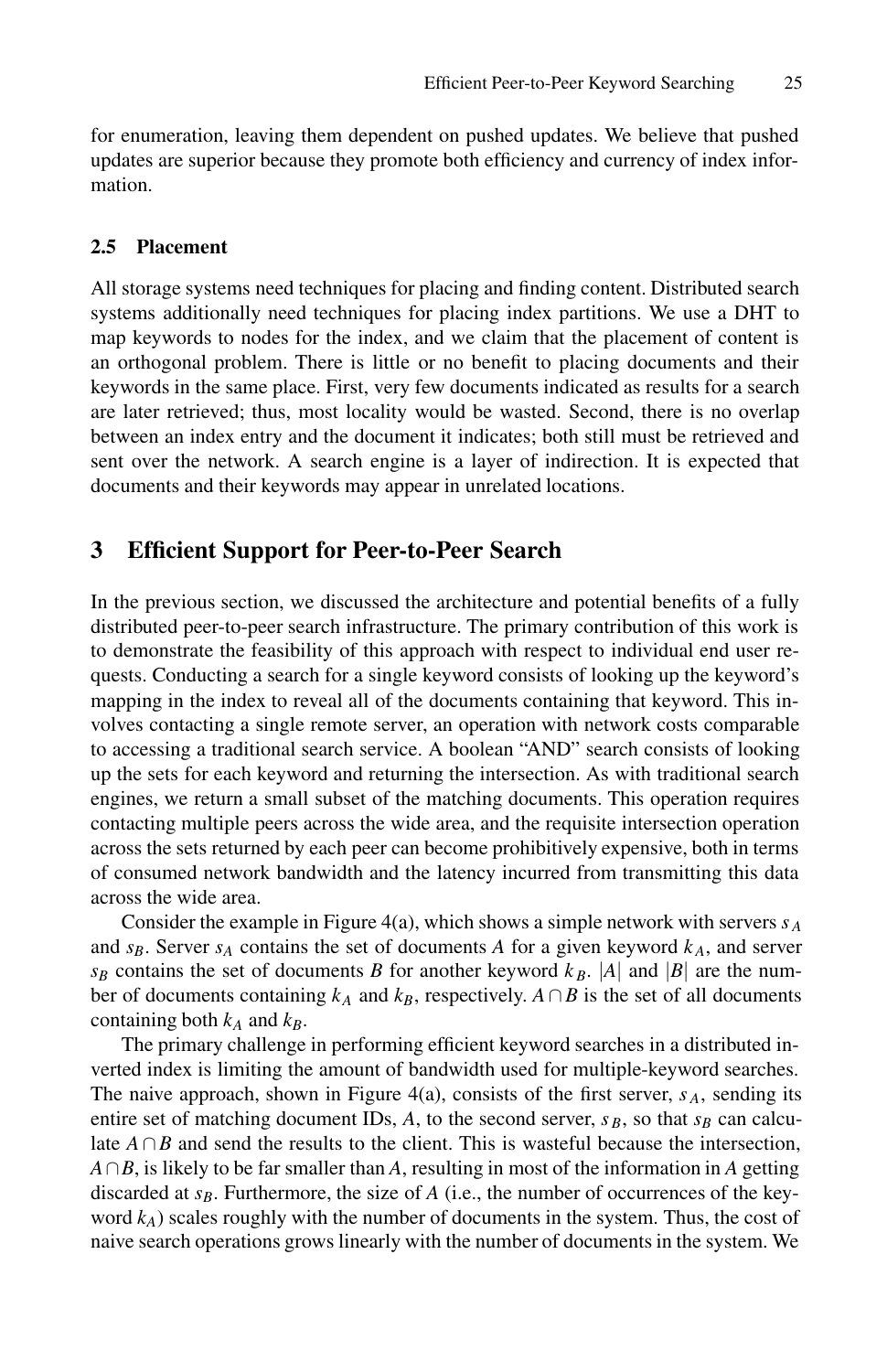for enumeration, leaving them dependent on pushed updates. We believe that pushed updates are superior because they promote both efficiency and currency of index information.

#### **2.5 Placement**

All storage systems need techniques for placing and finding content. Distributed search systems additionally need techniques for placing index partitions. We use a DHT to map keywords to nodes for the index, and we claim that the placement of content is an orthogonal problem. There is little or no benefit to placing documents and their keywords in the same place. First, very few documents indicated as results for a search are later retrieved; thus, most locality would be wasted. Second, there is no overlap between an index entry and the document it indicates; both still must be retrieved and sent over the network. A search engine is a layer of indirection. It is expected that documents and their keywords may appear in unrelated locations.

### **3 Efficient Support for Peer-to-Peer Search**

In the previous section, we discussed the architecture and potential benefits of a fully distributed peer-to-peer search infrastructure. The primary contribution of this work is to demonstrate the feasibility of this approach with respect to individual end user requests. Conducting a search for a single keyword consists of looking up the keyword's mapping in the index to reveal all of the documents containing that keyword. This involves contacting a single remote server, an operation with network costs comparable to accessing a traditional search service. A boolean "AND" search consists of looking up the sets for each keyword and returning the intersection. As with traditional search engines, we return a small subset of the matching documents. This operation requires contacting multiple peers across the wide area, and the requisite intersection operation across the sets returned by each peer can become prohibitively expensive, both in terms of consumed network bandwidth and the latency incurred from transmitting this data across the wide area.

Consider the example in Figure 4(a), which shows a simple network with servers *s <sup>A</sup>* and  $s_B$ . Server  $s_A$  contains the set of documents *A* for a given keyword  $k_A$ , and server  $s_B$  contains the set of documents *B* for another keyword  $k_B$ . |*A*| and |*B*| are the number of documents containing  $k_A$  and  $k_B$ , respectively.  $A \cap B$  is the set of all documents containing both  $k_A$  and  $k_B$ .

The primary challenge in performing efficient keyword searches in a distributed inverted index is limiting the amount of bandwidth used for multiple-keyword searches. The naive approach, shown in Figure 4(a), consists of the first server, *s <sup>A</sup>*, sending its entire set of matching document IDs, A, to the second server,  $s_B$ , so that  $s_B$  can calculate *A*∩*B* and send the results to the client. This is wasteful because the intersection, *A*∩*B*, is likely to be far smaller than *A*, resulting in most of the information in *A* getting discarded at *s<sub>B</sub>*. Furthermore, the size of *A* (i.e., the number of occurrences of the keyword  $k_A$ ) scales roughly with the number of documents in the system. Thus, the cost of naive search operations grows linearly with the number of documents in the system. We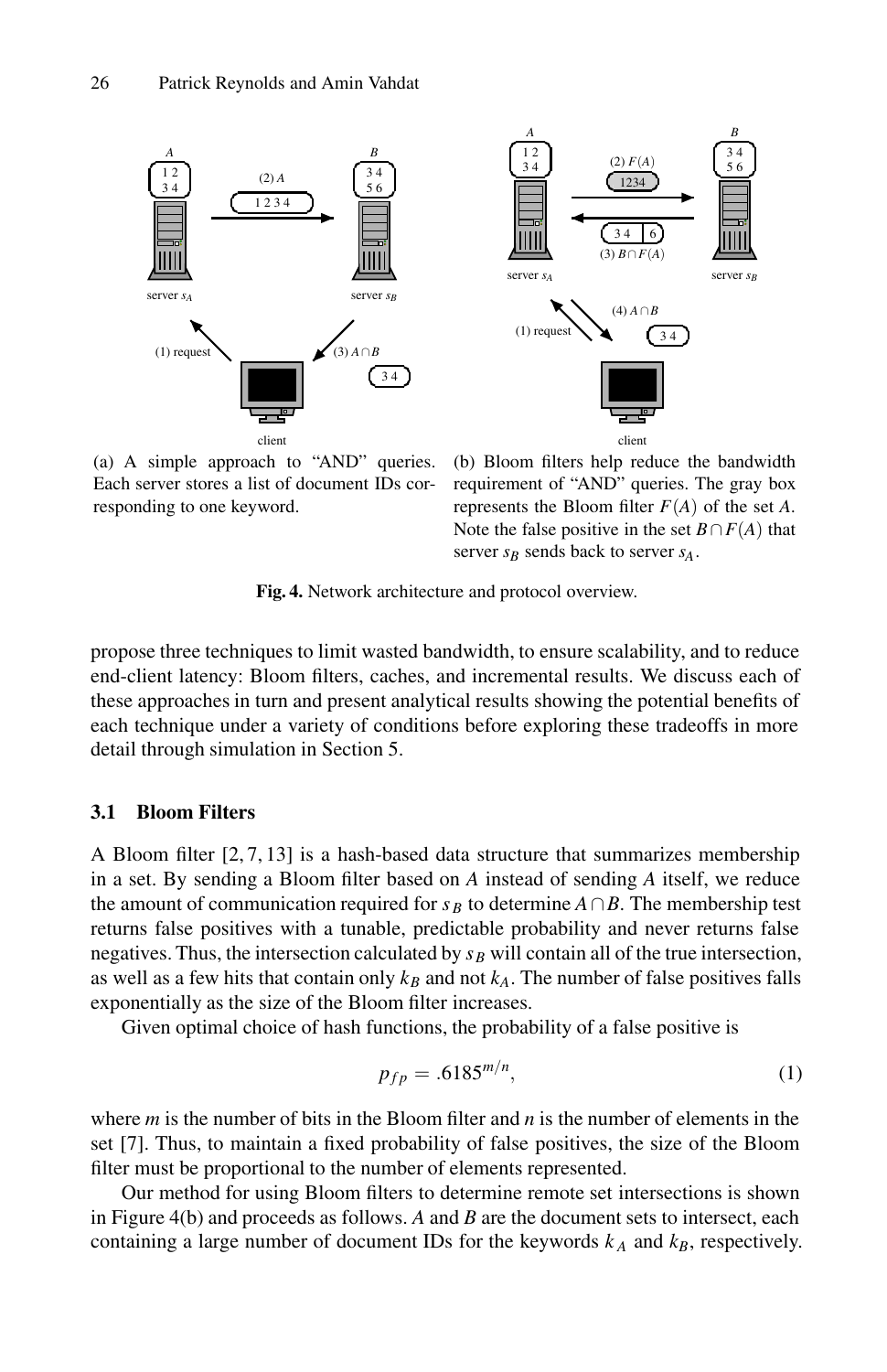



(a) A simple approach to "AND" queries. Each server stores a list of document IDs corresponding to one keyword.

(b) Bloom filters help reduce the bandwidth requirement of "AND" queries. The gray box represents the Bloom filter  $F(A)$  of the set  $A$ . Note the false positive in the set  $B \cap F(A)$  that server  $s_B$  sends back to server  $s_A$ .

**Fig. 4.** Network architecture and protocol overview.

propose three techniques to limit wasted bandwidth, to ensure scalability, and to reduce end-client latency: Bloom filters, caches, and incremental results. We discuss each of these approaches in turn and present analytical results showing the potential benefits of each technique under a variety of conditions before exploring these tradeoffs in more detail through simulation in Section 5.

#### **3.1 Bloom Filters**

A Bloom filter  $[2, 7, 13]$  is a hash-based data structure that summarizes membership in a set. By sending a Bloom filter based on *A* instead of sending *A* itself, we reduce the amount of communication required for  $s_B$  to determine  $A \cap B$ . The membership test returns false positives with a tunable, predictable probability and never returns false negatives. Thus, the intersection calculated by  $s_B$  will contain all of the true intersection, as well as a few hits that contain only  $k_B$  and not  $k_A$ . The number of false positives falls exponentially as the size of the Bloom filter increases.

Given optimal choice of hash functions, the probability of a false positive is

$$
p_{fp} = .6185^{m/n},\t\t(1)
$$

where *m* is the number of bits in the Bloom filter and *n* is the number of elements in the set [7]. Thus, to maintain a fixed probability of false positives, the size of the Bloom filter must be proportional to the number of elements represented.

Our method for using Bloom filters to determine remote set intersections is shown in Figure 4(b) and proceeds as follows. *A* and *B* are the document sets to intersect, each containing a large number of document IDs for the keywords  $k_A$  and  $k_B$ , respectively.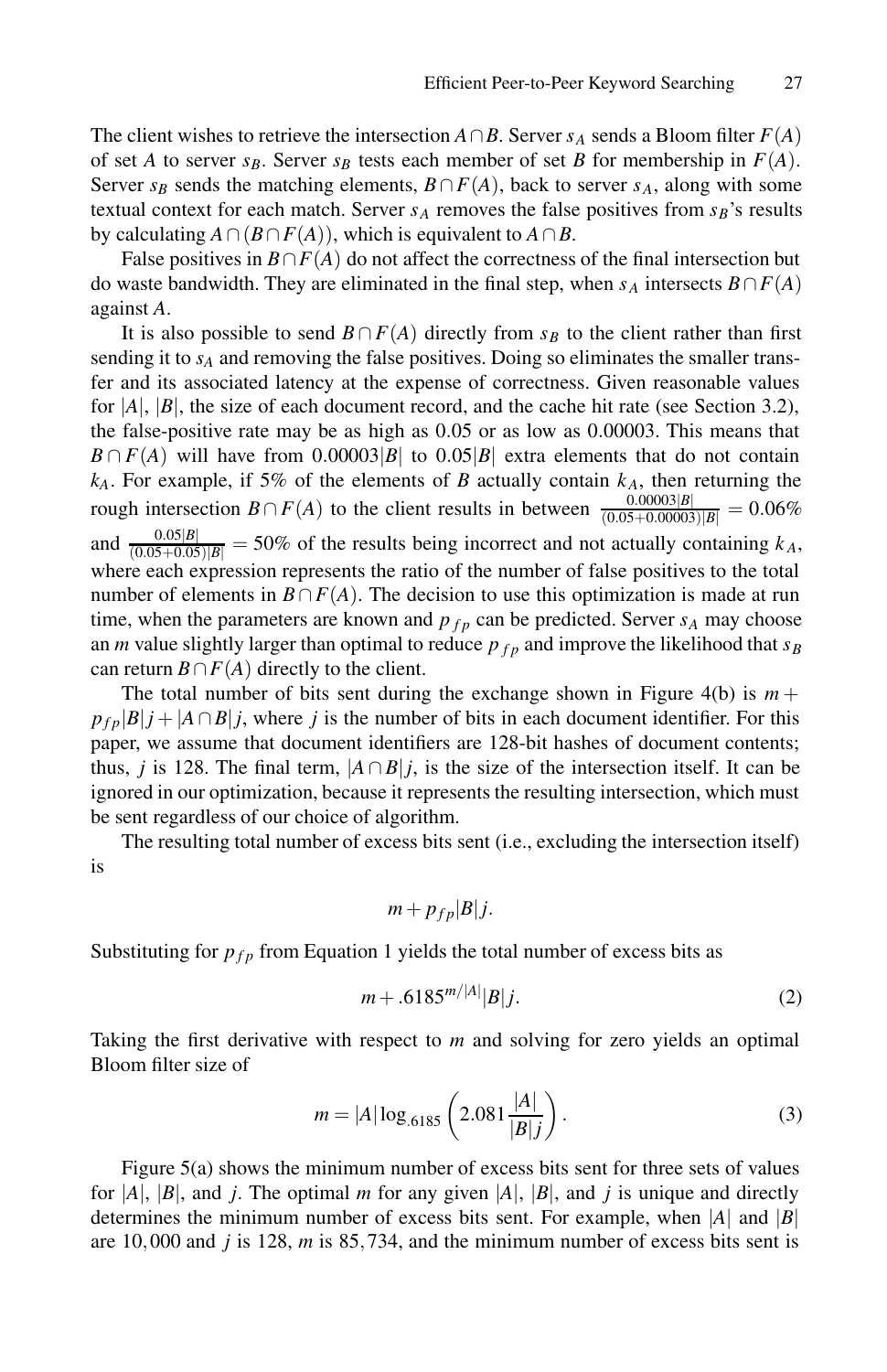The client wishes to retrieve the intersection  $A \cap B$ . Server  $s_A$  sends a Bloom filter  $F(A)$ of set *A* to server  $s_B$ . Server  $s_B$  tests each member of set *B* for membership in  $F(A)$ . Server  $s_B$  sends the matching elements,  $B \cap F(A)$ , back to server  $s_A$ , along with some textual context for each match. Server  $s_A$  removes the false positives from  $s_B$ 's results by calculating  $A \cap (B \cap F(A))$ , which is equivalent to  $A \cap B$ .

False positives in  $B \cap F(A)$  do not affect the correctness of the final intersection but do waste bandwidth. They are eliminated in the final step, when  $s_A$  intersects  $B \cap F(A)$ against *A*.

It is also possible to send  $B \cap F(A)$  directly from  $s_B$  to the client rather than first sending it to *sA* and removing the false positives. Doing so eliminates the smaller transfer and its associated latency at the expense of correctness. Given reasonable values for  $|A|$ ,  $|B|$ , the size of each document record, and the cache hit rate (see Section 3.2), the false-positive rate may be as high as 0.05 or as low as 0.00003. This means that  $B \cap F(A)$  will have from 0.00003|*B*| to 0.05|*B*| extra elements that do not contain  $k_A$ . For example, if 5% of the elements of *B* actually contain  $k_A$ , then returning the rough intersection  $B \cap F(A)$  to the client results in between  $\frac{0.00003|B|}{(0.05+0.00003)|B|} = 0.06\%$ and  $\frac{0.05|B|}{(0.05+0.05)|B|} = 50\%$  of the results being incorrect and not actually containing  $k_A$ , where each expression represents the ratio of the number of false positives to the total number of elements in  $B \cap F(A)$ . The decision to use this optimization is made at run time, when the parameters are known and  $p_{fp}$  can be predicted. Server  $s_A$  may choose an *m* value slightly larger than optimal to reduce  $p_{fp}$  and improve the likelihood that  $s_B$ can return *B*∩*F*(*A*) directly to the client.

The total number of bits sent during the exchange shown in Figure  $4(b)$  is  $m +$  $p_{fp}|B|j + |A \cap B|j$ , where *j* is the number of bits in each document identifier. For this paper, we assume that document identifiers are 128-bit hashes of document contents; thus, *j* is 128. The final term,  $|A \cap B|$  *j*, is the size of the intersection itself. It can be ignored in our optimization, because it represents the resulting intersection, which must be sent regardless of our choice of algorithm.

The resulting total number of excess bits sent (i.e., excluding the intersection itself) is

$$
m+p_{fp}|B|j.
$$

Substituting for  $p_{fp}$  from Equation 1 yields the total number of excess bits as

$$
m+.6185^{m/|A|}|B|j.\tag{2}
$$

Taking the first derivative with respect to *m* and solving for zero yields an optimal Bloom filter size of

$$
m = |A| \log_{.6185} \left( 2.081 \frac{|A|}{|B|j} \right). \tag{3}
$$

Figure 5(a) shows the minimum number of excess bits sent for three sets of values for |*A*|, |*B*|, and *j*. The optimal *m* for any given |*A*|, |*B*|, and *j* is unique and directly determines the minimum number of excess bits sent. For example, when |*A*| and |*B*| are 10,000 and *j* is 128, *m* is 85,734, and the minimum number of excess bits sent is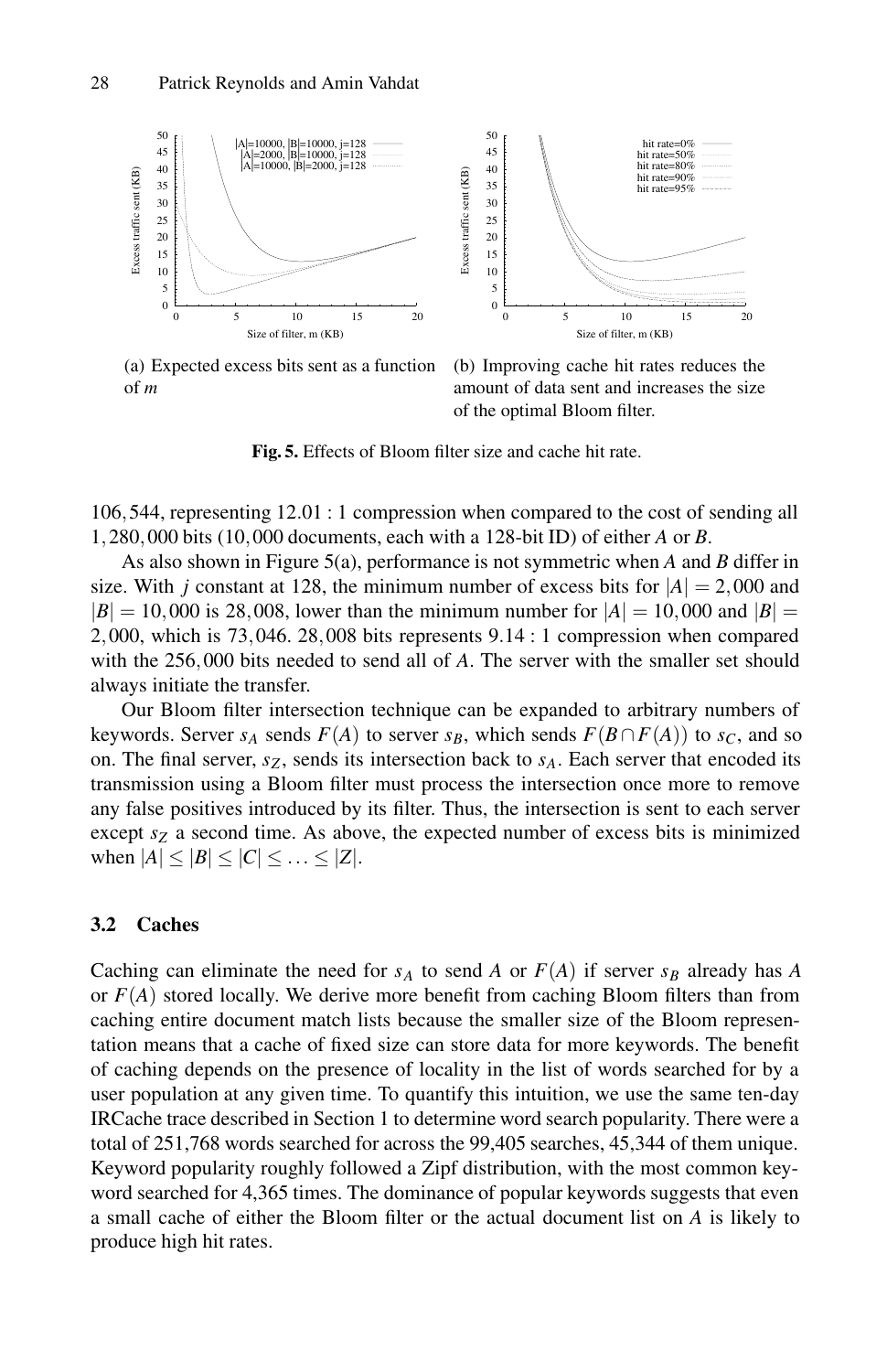

(a) Expected excess bits sent as a function of *m*



**Fig. 5.** Effects of Bloom filter size and cache hit rate.

106,544, representing 12.01 : 1 compression when compared to the cost of sending all 1,280,000 bits (10,000 documents, each with a 128-bit ID) of either *A* or *B*.

As also shown in Figure 5(a), performance is not symmetric when *A* and *B* differ in size. With *j* constant at 128, the minimum number of excess bits for  $|A| = 2,000$  and  $|B| = 10,000$  is 28,008, lower than the minimum number for  $|A| = 10,000$  and  $|B| = 10$ 2,000, which is 73,046. 28,008 bits represents 9.14 : 1 compression when compared with the 256,000 bits needed to send all of *A*. The server with the smaller set should always initiate the transfer.

Our Bloom filter intersection technique can be expanded to arbitrary numbers of keywords. Server  $s_A$  sends  $F(A)$  to server  $s_B$ , which sends  $F(B \cap F(A))$  to  $s_C$ , and so on. The final server, *sz*, sends its intersection back to *s<sub>A</sub>*. Each server that encoded its transmission using a Bloom filter must process the intersection once more to remove any false positives introduced by its filter. Thus, the intersection is sent to each server except  $s<sub>Z</sub>$  a second time. As above, the expected number of excess bits is minimized when  $|A| < |B| < |C| < ... < |Z|$ .

#### **3.2 Caches**

Caching can eliminate the need for  $s_A$  to send *A* or  $F(A)$  if server  $s_B$  already has *A* or  $F(A)$  stored locally. We derive more benefit from caching Bloom filters than from caching entire document match lists because the smaller size of the Bloom representation means that a cache of fixed size can store data for more keywords. The benefit of caching depends on the presence of locality in the list of words searched for by a user population at any given time. To quantify this intuition, we use the same ten-day IRCache trace described in Section 1 to determine word search popularity. There were a total of 251,768 words searched for across the 99,405 searches, 45,344 of them unique. Keyword popularity roughly followed a Zipf distribution, with the most common keyword searched for 4,365 times. The dominance of popular keywords suggests that even a small cache of either the Bloom filter or the actual document list on *A* is likely to produce high hit rates.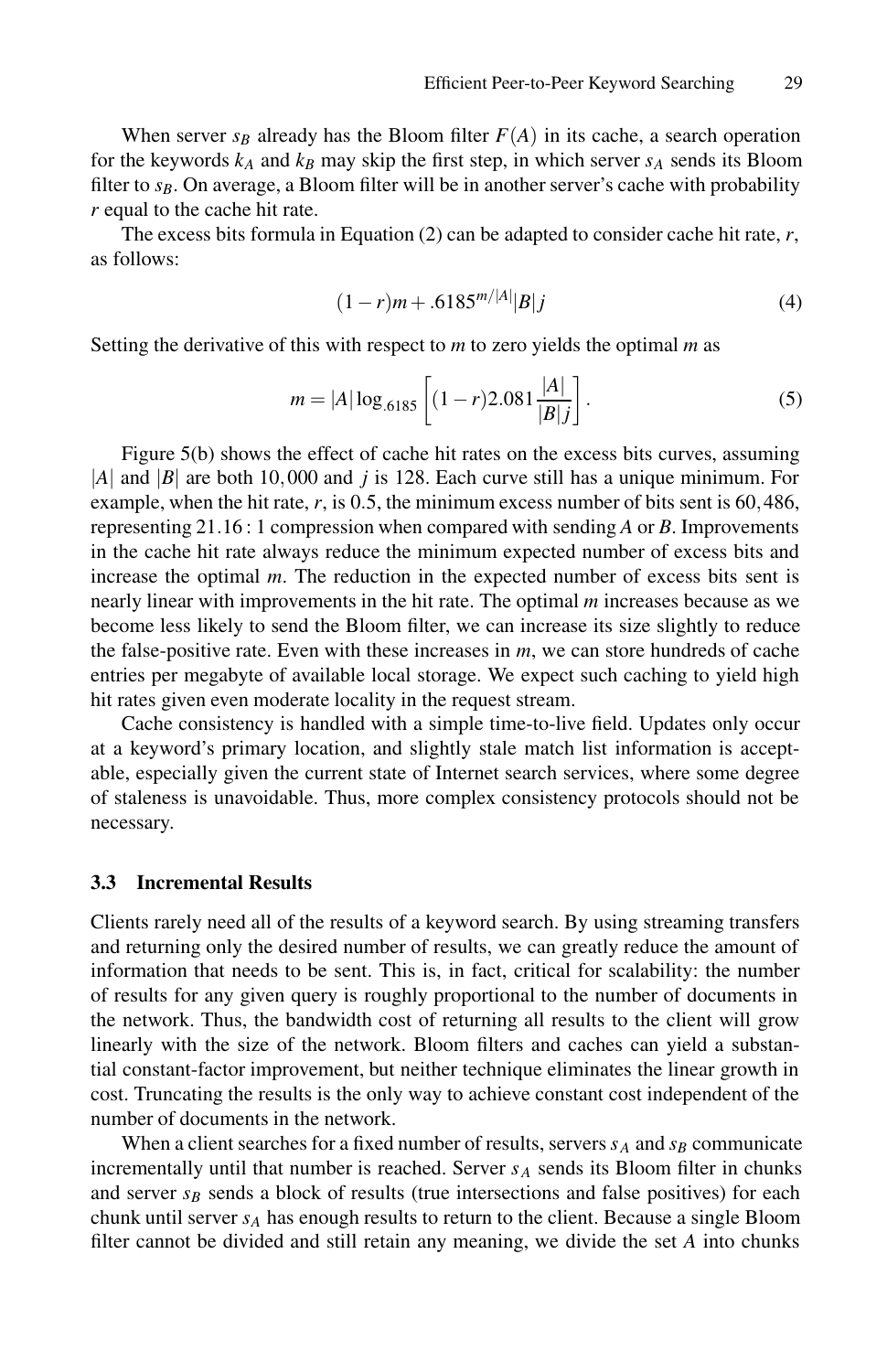When server  $s_B$  already has the Bloom filter  $F(A)$  in its cache, a search operation for the keywords  $k_A$  and  $k_B$  may skip the first step, in which server  $s_A$  sends its Bloom filter to  $s_B$ . On average, a Bloom filter will be in another server's cache with probability *r* equal to the cache hit rate.

The excess bits formula in Equation (2) can be adapted to consider cache hit rate, *r*, as follows:

$$
(1 - r)m + .6185^{m/|A|}|B|j \tag{4}
$$

Setting the derivative of this with respect to *m* to zero yields the optimal *m* as

$$
m = |A| \log_{.6185} \left[ (1 - r) 2.081 \frac{|A|}{|B|} \right].
$$
 (5)

Figure 5(b) shows the effect of cache hit rates on the excess bits curves, assuming |*A*| and |*B*| are both 10,000 and *j* is 128. Each curve still has a unique minimum. For example, when the hit rate,  $r$ , is 0.5, the minimum excess number of bits sent is  $60,486$ , representing 21.16 : 1 compression when compared with sending *A* or *B*. Improvements in the cache hit rate always reduce the minimum expected number of excess bits and increase the optimal *m*. The reduction in the expected number of excess bits sent is nearly linear with improvements in the hit rate. The optimal *m* increases because as we become less likely to send the Bloom filter, we can increase its size slightly to reduce the false-positive rate. Even with these increases in *m*, we can store hundreds of cache entries per megabyte of available local storage. We expect such caching to yield high hit rates given even moderate locality in the request stream.

Cache consistency is handled with a simple time-to-live field. Updates only occur at a keyword's primary location, and slightly stale match list information is acceptable, especially given the current state of Internet search services, where some degree of staleness is unavoidable. Thus, more complex consistency protocols should not be necessary.

#### **3.3 Incremental Results**

Clients rarely need all of the results of a keyword search. By using streaming transfers and returning only the desired number of results, we can greatly reduce the amount of information that needs to be sent. This is, in fact, critical for scalability: the number of results for any given query is roughly proportional to the number of documents in the network. Thus, the bandwidth cost of returning all results to the client will grow linearly with the size of the network. Bloom filters and caches can yield a substantial constant-factor improvement, but neither technique eliminates the linear growth in cost. Truncating the results is the only way to achieve constant cost independent of the number of documents in the network.

When a client searches for a fixed number of results, servers  $s_A$  and  $s_B$  communicate incrementally until that number is reached. Server  $s_A$  sends its Bloom filter in chunks and server  $s_B$  sends a block of results (true intersections and false positives) for each chunk until server *sA* has enough results to return to the client. Because a single Bloom filter cannot be divided and still retain any meaning, we divide the set *A* into chunks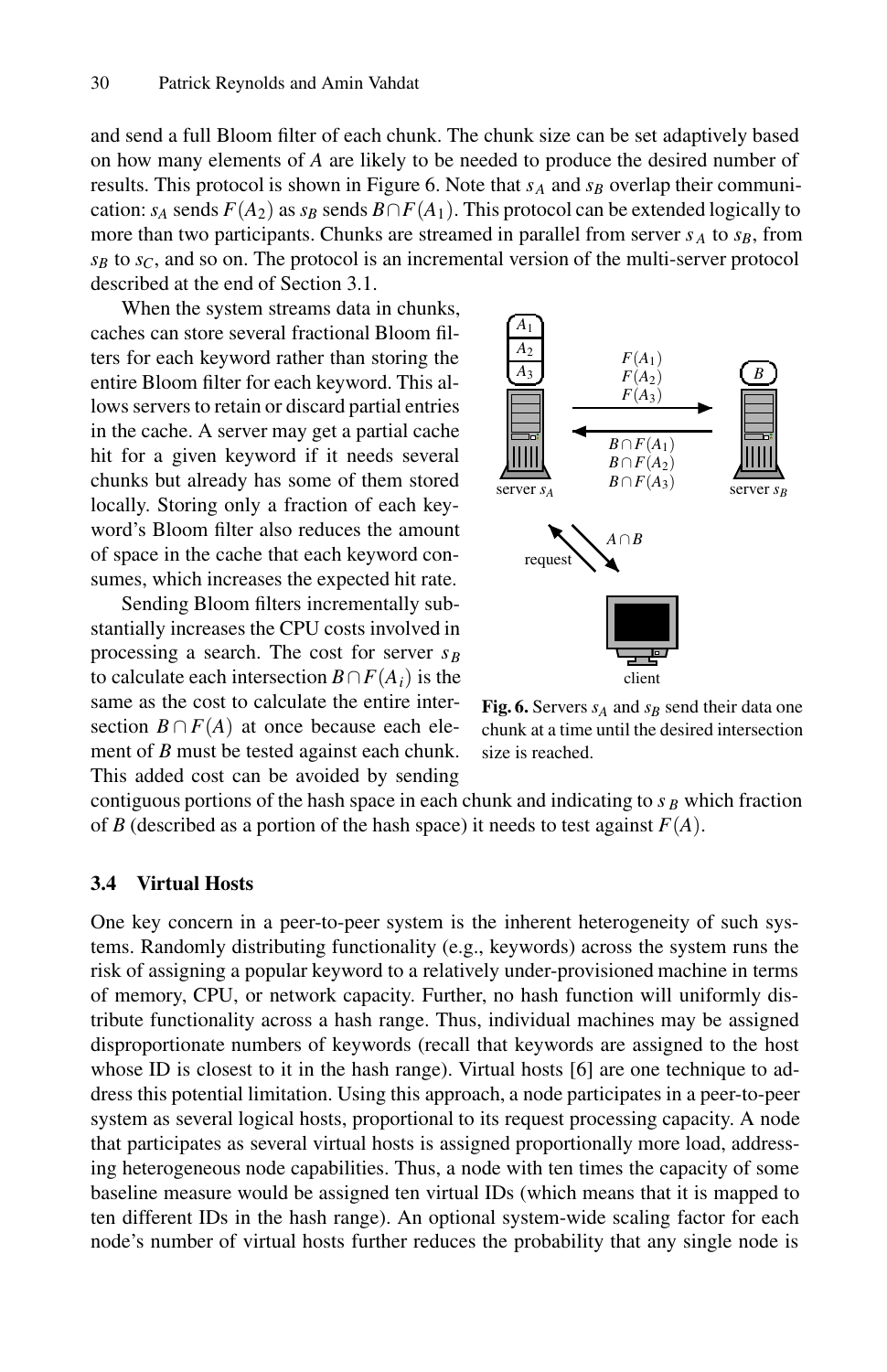and send a full Bloom filter of each chunk. The chunk size can be set adaptively based on how many elements of *A* are likely to be needed to produce the desired number of results. This protocol is shown in Figure 6. Note that  $s_A$  and  $s_B$  overlap their communication:  $s_A$  sends  $F(A_2)$  as  $s_B$  sends  $B \cap F(A_1)$ . This protocol can be extended logically to more than two participants. Chunks are streamed in parallel from server  $s_A$  to  $s_B$ , from  $s_B$  to  $s_C$ , and so on. The protocol is an incremental version of the multi-server protocol described at the end of Section 3.1.

When the system streams data in chunks, caches can store several fractional Bloom filters for each keyword rather than storing the entire Bloom filter for each keyword. This allows servers to retain or discard partial entries in the cache. A server may get a partial cache hit for a given keyword if it needs several chunks but already has some of them stored locally. Storing only a fraction of each keyword's Bloom filter also reduces the amount of space in the cache that each keyword consumes, which increases the expected hit rate.

Sending Bloom filters incrementally substantially increases the CPU costs involved in processing a search. The cost for server  $s_B$ to calculate each intersection  $B \cap F(A_i)$  is the same as the cost to calculate the entire intersection  $B \cap F(A)$  at once because each element of *B* must be tested against each chunk. This added cost can be avoided by sending



**Fig. 6.** Servers  $s_A$  and  $s_B$  send their data one chunk at a time until the desired intersection size is reached.

contiguous portions of the hash space in each chunk and indicating to  $s<sub>B</sub>$  which fraction of *B* (described as a portion of the hash space) it needs to test against  $F(A)$ .

#### **3.4 Virtual Hosts**

One key concern in a peer-to-peer system is the inherent heterogeneity of such systems. Randomly distributing functionality (e.g., keywords) across the system runs the risk of assigning a popular keyword to a relatively under-provisioned machine in terms of memory, CPU, or network capacity. Further, no hash function will uniformly distribute functionality across a hash range. Thus, individual machines may be assigned disproportionate numbers of keywords (recall that keywords are assigned to the host whose ID is closest to it in the hash range). Virtual hosts [6] are one technique to address this potential limitation. Using this approach, a node participates in a peer-to-peer system as several logical hosts, proportional to its request processing capacity. A node that participates as several virtual hosts is assigned proportionally more load, addressing heterogeneous node capabilities. Thus, a node with ten times the capacity of some baseline measure would be assigned ten virtual IDs (which means that it is mapped to ten different IDs in the hash range). An optional system-wide scaling factor for each node's number of virtual hosts further reduces the probability that any single node is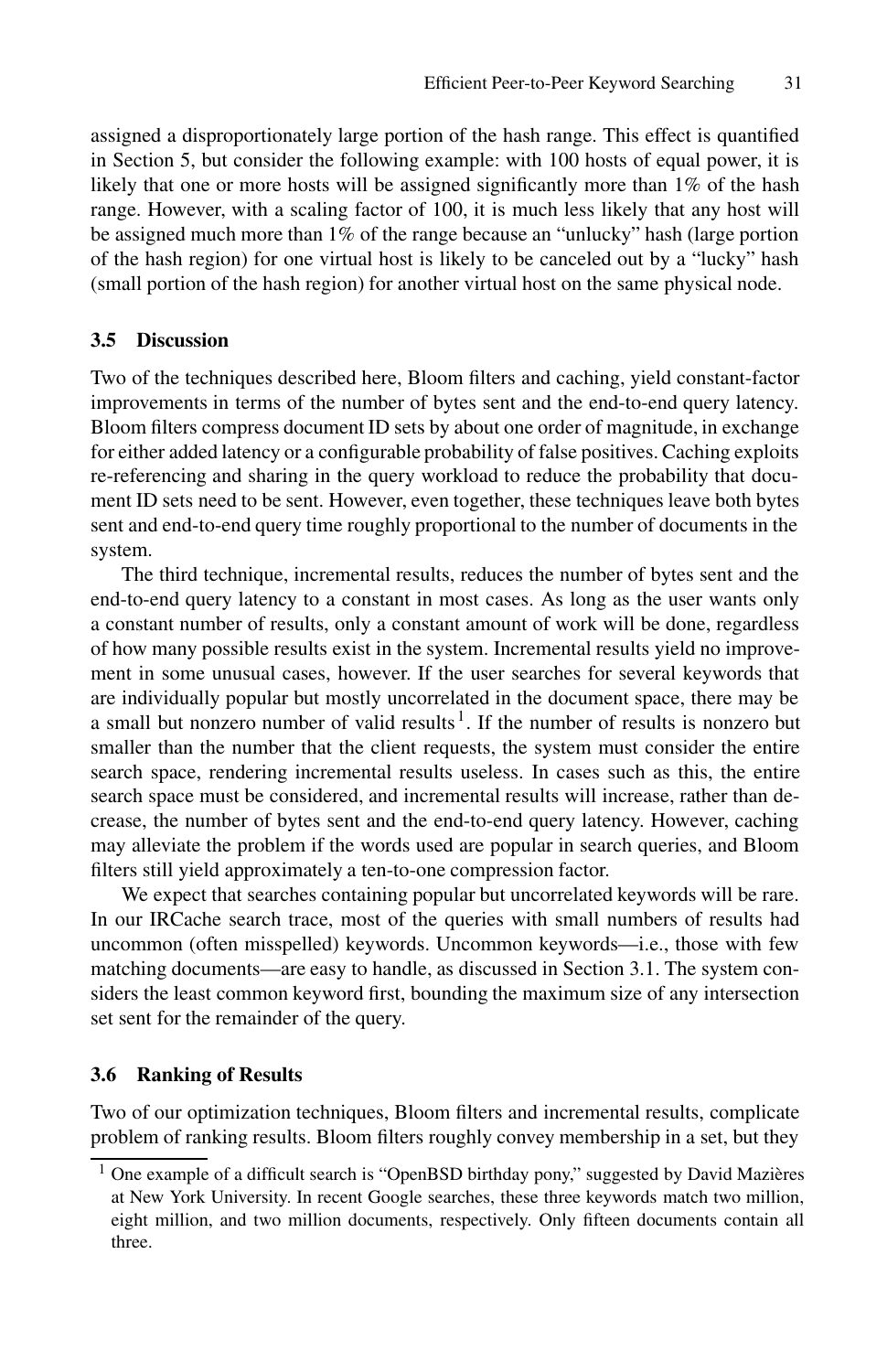assigned a disproportionately large portion of the hash range. This effect is quantified in Section 5, but consider the following example: with 100 hosts of equal power, it is likely that one or more hosts will be assigned significantly more than 1% of the hash range. However, with a scaling factor of 100, it is much less likely that any host will be assigned much more than 1% of the range because an "unlucky" hash (large portion of the hash region) for one virtual host is likely to be canceled out by a "lucky" hash (small portion of the hash region) for another virtual host on the same physical node.

#### **3.5 Discussion**

Two of the techniques described here, Bloom filters and caching, yield constant-factor improvements in terms of the number of bytes sent and the end-to-end query latency. Bloom filters compress document ID sets by about one order of magnitude, in exchange for either added latency or a configurable probability of false positives. Caching exploits re-referencing and sharing in the query workload to reduce the probability that document ID sets need to be sent. However, even together, these techniques leave both bytes sent and end-to-end query time roughly proportional to the number of documents in the system.

The third technique, incremental results, reduces the number of bytes sent and the end-to-end query latency to a constant in most cases. As long as the user wants only a constant number of results, only a constant amount of work will be done, regardless of how many possible results exist in the system. Incremental results yield no improvement in some unusual cases, however. If the user searches for several keywords that are individually popular but mostly uncorrelated in the document space, there may be a small but nonzero number of valid results  $<sup>1</sup>$ . If the number of results is nonzero but</sup> smaller than the number that the client requests, the system must consider the entire search space, rendering incremental results useless. In cases such as this, the entire search space must be considered, and incremental results will increase, rather than decrease, the number of bytes sent and the end-to-end query latency. However, caching may alleviate the problem if the words used are popular in search queries, and Bloom filters still yield approximately a ten-to-one compression factor.

We expect that searches containing popular but uncorrelated keywords will be rare. In our IRCache search trace, most of the queries with small numbers of results had uncommon (often misspelled) keywords. Uncommon keywords—i.e., those with few matching documents—are easy to handle, as discussed in Section 3.1. The system considers the least common keyword first, bounding the maximum size of any intersection set sent for the remainder of the query.

#### **3.6 Ranking of Results**

Two of our optimization techniques, Bloom filters and incremental results, complicate problem of ranking results. Bloom filters roughly convey membership in a set, but they

<sup>&</sup>lt;sup>1</sup> One example of a difficult search is "OpenBSD birthday pony," suggested by David Mazières at New York University. In recent Google searches, these three keywords match two million, eight million, and two million documents, respectively. Only fifteen documents contain all three.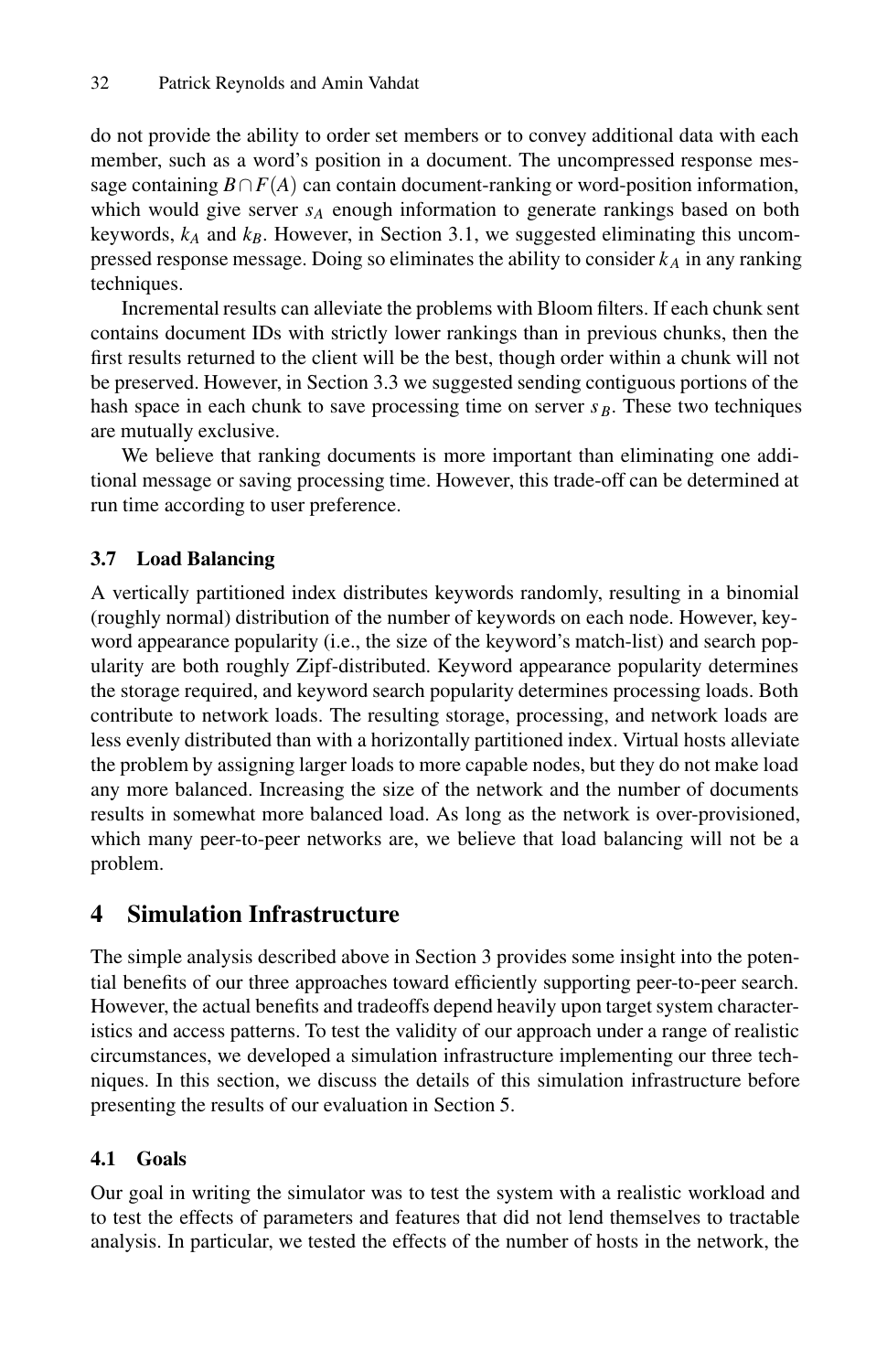do not provide the ability to order set members or to convey additional data with each member, such as a word's position in a document. The uncompressed response message containing  $B \cap F(A)$  can contain document-ranking or word-position information, which would give server  $s_A$  enough information to generate rankings based on both keywords,  $k_A$  and  $k_B$ . However, in Section 3.1, we suggested eliminating this uncompressed response message. Doing so eliminates the ability to consider  $k_A$  in any ranking techniques.

Incremental results can alleviate the problems with Bloom filters. If each chunk sent contains document IDs with strictly lower rankings than in previous chunks, then the first results returned to the client will be the best, though order within a chunk will not be preserved. However, in Section 3.3 we suggested sending contiguous portions of the hash space in each chunk to save processing time on server  $s_B$ . These two techniques are mutually exclusive.

We believe that ranking documents is more important than eliminating one additional message or saving processing time. However, this trade-off can be determined at run time according to user preference.

## **3.7 Load Balancing**

A vertically partitioned index distributes keywords randomly, resulting in a binomial (roughly normal) distribution of the number of keywords on each node. However, keyword appearance popularity (i.e., the size of the keyword's match-list) and search popularity are both roughly Zipf-distributed. Keyword appearance popularity determines the storage required, and keyword search popularity determines processing loads. Both contribute to network loads. The resulting storage, processing, and network loads are less evenly distributed than with a horizontally partitioned index. Virtual hosts alleviate the problem by assigning larger loads to more capable nodes, but they do not make load any more balanced. Increasing the size of the network and the number of documents results in somewhat more balanced load. As long as the network is over-provisioned, which many peer-to-peer networks are, we believe that load balancing will not be a problem.

# **4 Simulation Infrastructure**

The simple analysis described above in Section 3 provides some insight into the potential benefits of our three approaches toward efficiently supporting peer-to-peer search. However, the actual benefits and tradeoffs depend heavily upon target system characteristics and access patterns. To test the validity of our approach under a range of realistic circumstances, we developed a simulation infrastructure implementing our three techniques. In this section, we discuss the details of this simulation infrastructure before presenting the results of our evaluation in Section 5.

## **4.1 Goals**

Our goal in writing the simulator was to test the system with a realistic workload and to test the effects of parameters and features that did not lend themselves to tractable analysis. In particular, we tested the effects of the number of hosts in the network, the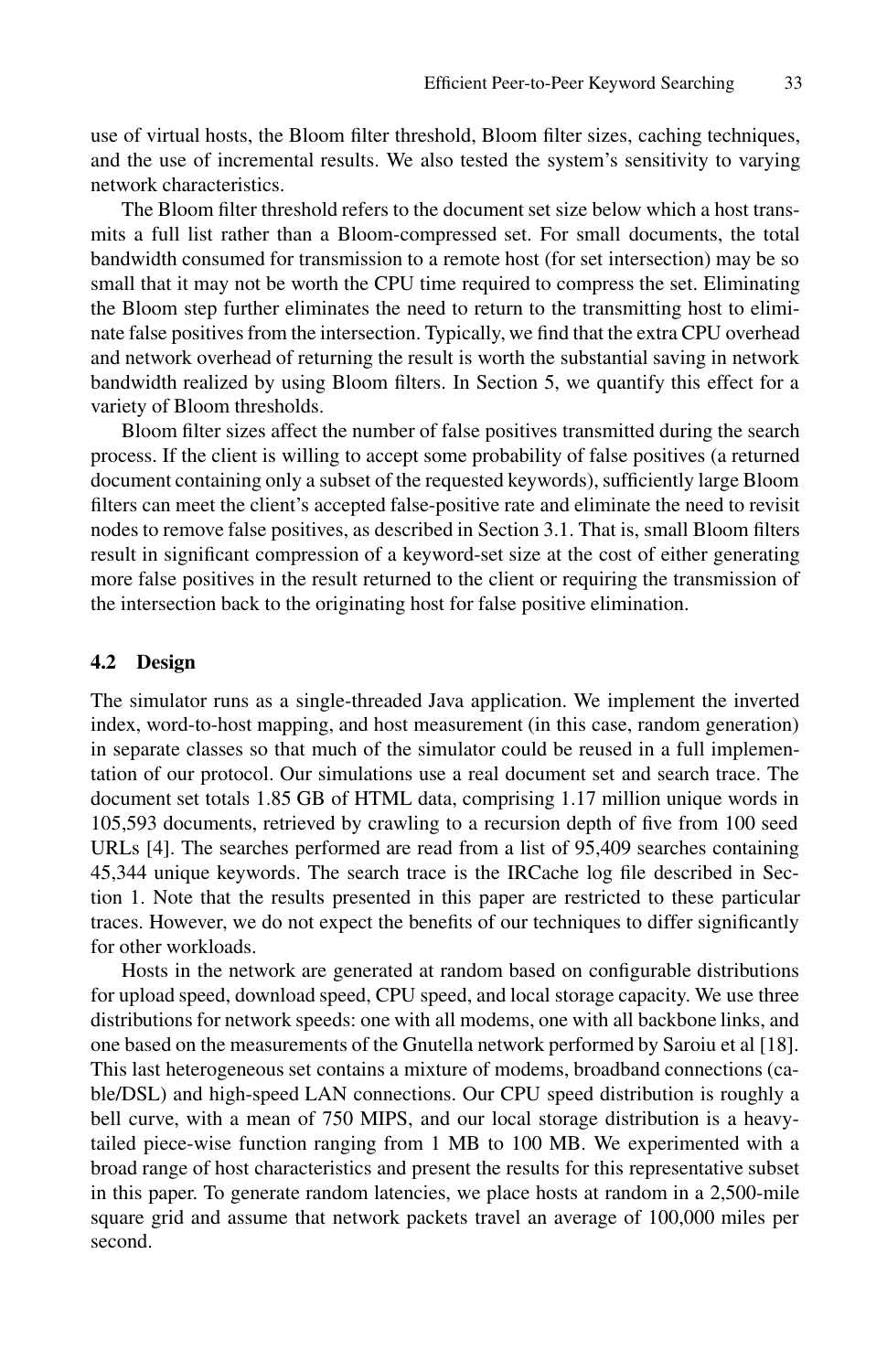use of virtual hosts, the Bloom filter threshold, Bloom filter sizes, caching techniques, and the use of incremental results. We also tested the system's sensitivity to varying network characteristics.

The Bloom filter threshold refers to the document set size below which a host transmits a full list rather than a Bloom-compressed set. For small documents, the total bandwidth consumed for transmission to a remote host (for set intersection) may be so small that it may not be worth the CPU time required to compress the set. Eliminating the Bloom step further eliminates the need to return to the transmitting host to eliminate false positives from the intersection. Typically, we find that the extra CPU overhead and network overhead of returning the result is worth the substantial saving in network bandwidth realized by using Bloom filters. In Section 5, we quantify this effect for a variety of Bloom thresholds.

Bloom filter sizes affect the number of false positives transmitted during the search process. If the client is willing to accept some probability of false positives (a returned document containing only a subset of the requested keywords), sufficiently large Bloom filters can meet the client's accepted false-positive rate and eliminate the need to revisit nodes to remove false positives, as described in Section 3.1. That is, small Bloom filters result in significant compression of a keyword-set size at the cost of either generating more false positives in the result returned to the client or requiring the transmission of the intersection back to the originating host for false positive elimination.

#### **4.2 Design**

The simulator runs as a single-threaded Java application. We implement the inverted index, word-to-host mapping, and host measurement (in this case, random generation) in separate classes so that much of the simulator could be reused in a full implementation of our protocol. Our simulations use a real document set and search trace. The document set totals 1.85 GB of HTML data, comprising 1.17 million unique words in 105,593 documents, retrieved by crawling to a recursion depth of five from 100 seed URLs [4]. The searches performed are read from a list of 95,409 searches containing 45,344 unique keywords. The search trace is the IRCache log file described in Section 1. Note that the results presented in this paper are restricted to these particular traces. However, we do not expect the benefits of our techniques to differ significantly for other workloads.

Hosts in the network are generated at random based on configurable distributions for upload speed, download speed, CPU speed, and local storage capacity. We use three distributions for network speeds: one with all modems, one with all backbone links, and one based on the measurements of the Gnutella network performed by Saroiu et al [18]. This last heterogeneous set contains a mixture of modems, broadband connections (cable/DSL) and high-speed LAN connections. Our CPU speed distribution is roughly a bell curve, with a mean of 750 MIPS, and our local storage distribution is a heavytailed piece-wise function ranging from 1 MB to 100 MB. We experimented with a broad range of host characteristics and present the results for this representative subset in this paper. To generate random latencies, we place hosts at random in a 2,500-mile square grid and assume that network packets travel an average of 100,000 miles per second.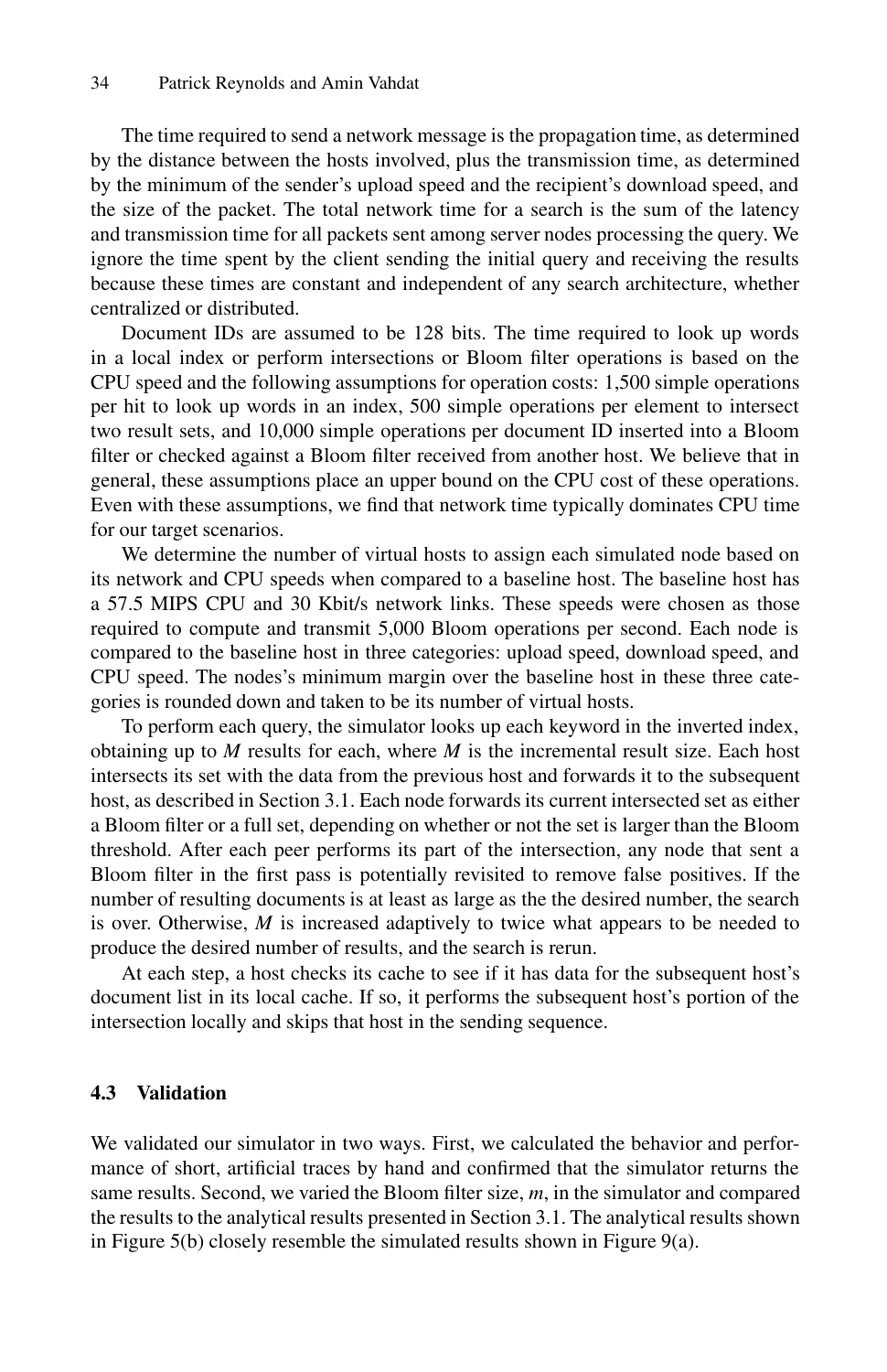The time required to send a network message is the propagation time, as determined by the distance between the hosts involved, plus the transmission time, as determined by the minimum of the sender's upload speed and the recipient's download speed, and the size of the packet. The total network time for a search is the sum of the latency and transmission time for all packets sent among server nodes processing the query. We ignore the time spent by the client sending the initial query and receiving the results because these times are constant and independent of any search architecture, whether centralized or distributed.

Document IDs are assumed to be 128 bits. The time required to look up words in a local index or perform intersections or Bloom filter operations is based on the CPU speed and the following assumptions for operation costs: 1,500 simple operations per hit to look up words in an index, 500 simple operations per element to intersect two result sets, and 10,000 simple operations per document ID inserted into a Bloom filter or checked against a Bloom filter received from another host. We believe that in general, these assumptions place an upper bound on the CPU cost of these operations. Even with these assumptions, we find that network time typically dominates CPU time for our target scenarios.

We determine the number of virtual hosts to assign each simulated node based on its network and CPU speeds when compared to a baseline host. The baseline host has a 57.5 MIPS CPU and 30 Kbit/s network links. These speeds were chosen as those required to compute and transmit 5,000 Bloom operations per second. Each node is compared to the baseline host in three categories: upload speed, download speed, and CPU speed. The nodes's minimum margin over the baseline host in these three categories is rounded down and taken to be its number of virtual hosts.

To perform each query, the simulator looks up each keyword in the inverted index, obtaining up to *M* results for each, where *M* is the incremental result size. Each host intersects its set with the data from the previous host and forwards it to the subsequent host, as described in Section 3.1. Each node forwards its current intersected set as either a Bloom filter or a full set, depending on whether or not the set is larger than the Bloom threshold. After each peer performs its part of the intersection, any node that sent a Bloom filter in the first pass is potentially revisited to remove false positives. If the number of resulting documents is at least as large as the the desired number, the search is over. Otherwise, *M* is increased adaptively to twice what appears to be needed to produce the desired number of results, and the search is rerun.

At each step, a host checks its cache to see if it has data for the subsequent host's document list in its local cache. If so, it performs the subsequent host's portion of the intersection locally and skips that host in the sending sequence.

#### **4.3 Validation**

We validated our simulator in two ways. First, we calculated the behavior and performance of short, artificial traces by hand and confirmed that the simulator returns the same results. Second, we varied the Bloom filter size, *m*, in the simulator and compared the results to the analytical results presented in Section 3.1. The analytical results shown in Figure 5(b) closely resemble the simulated results shown in Figure 9(a).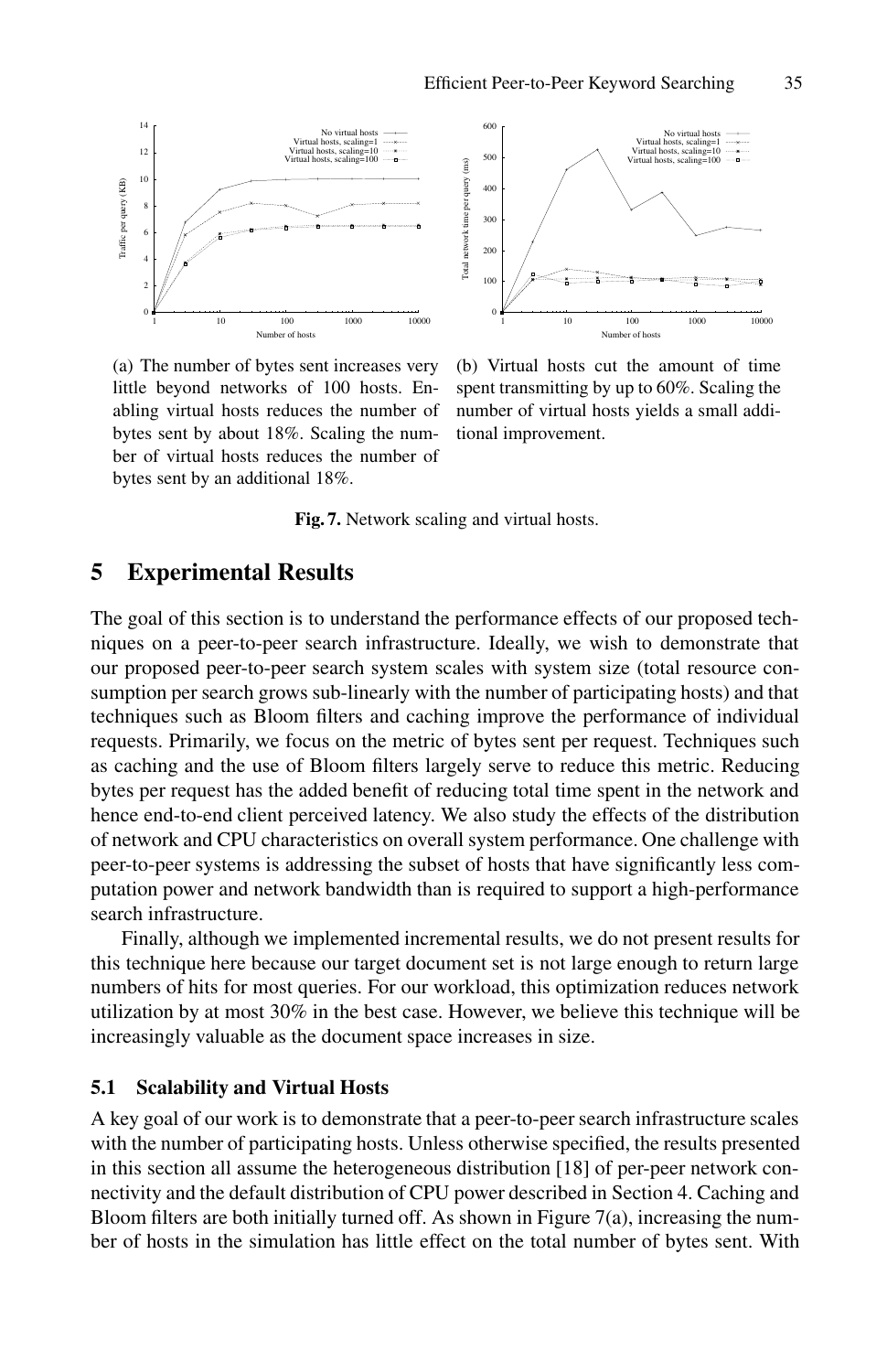

(a) The number of bytes sent increases very little beyond networks of 100 hosts. Enabling virtual hosts reduces the number of bytes sent by about 18%. Scaling the number of virtual hosts reduces the number of bytes sent by an additional 18%.



(b) Virtual hosts cut the amount of time spent transmitting by up to 60%. Scaling the number of virtual hosts yields a small additional improvement.

**Fig. 7.** Network scaling and virtual hosts.

## **5 Experimental Results**

The goal of this section is to understand the performance effects of our proposed techniques on a peer-to-peer search infrastructure. Ideally, we wish to demonstrate that our proposed peer-to-peer search system scales with system size (total resource consumption per search grows sub-linearly with the number of participating hosts) and that techniques such as Bloom filters and caching improve the performance of individual requests. Primarily, we focus on the metric of bytes sent per request. Techniques such as caching and the use of Bloom filters largely serve to reduce this metric. Reducing bytes per request has the added benefit of reducing total time spent in the network and hence end-to-end client perceived latency. We also study the effects of the distribution of network and CPU characteristics on overall system performance. One challenge with peer-to-peer systems is addressing the subset of hosts that have significantly less computation power and network bandwidth than is required to support a high-performance search infrastructure.

Finally, although we implemented incremental results, we do not present results for this technique here because our target document set is not large enough to return large numbers of hits for most queries. For our workload, this optimization reduces network utilization by at most 30% in the best case. However, we believe this technique will be increasingly valuable as the document space increases in size.

#### **5.1 Scalability and Virtual Hosts**

A key goal of our work is to demonstrate that a peer-to-peer search infrastructure scales with the number of participating hosts. Unless otherwise specified, the results presented in this section all assume the heterogeneous distribution [18] of per-peer network connectivity and the default distribution of CPU power described in Section 4. Caching and Bloom filters are both initially turned off. As shown in Figure 7(a), increasing the number of hosts in the simulation has little effect on the total number of bytes sent. With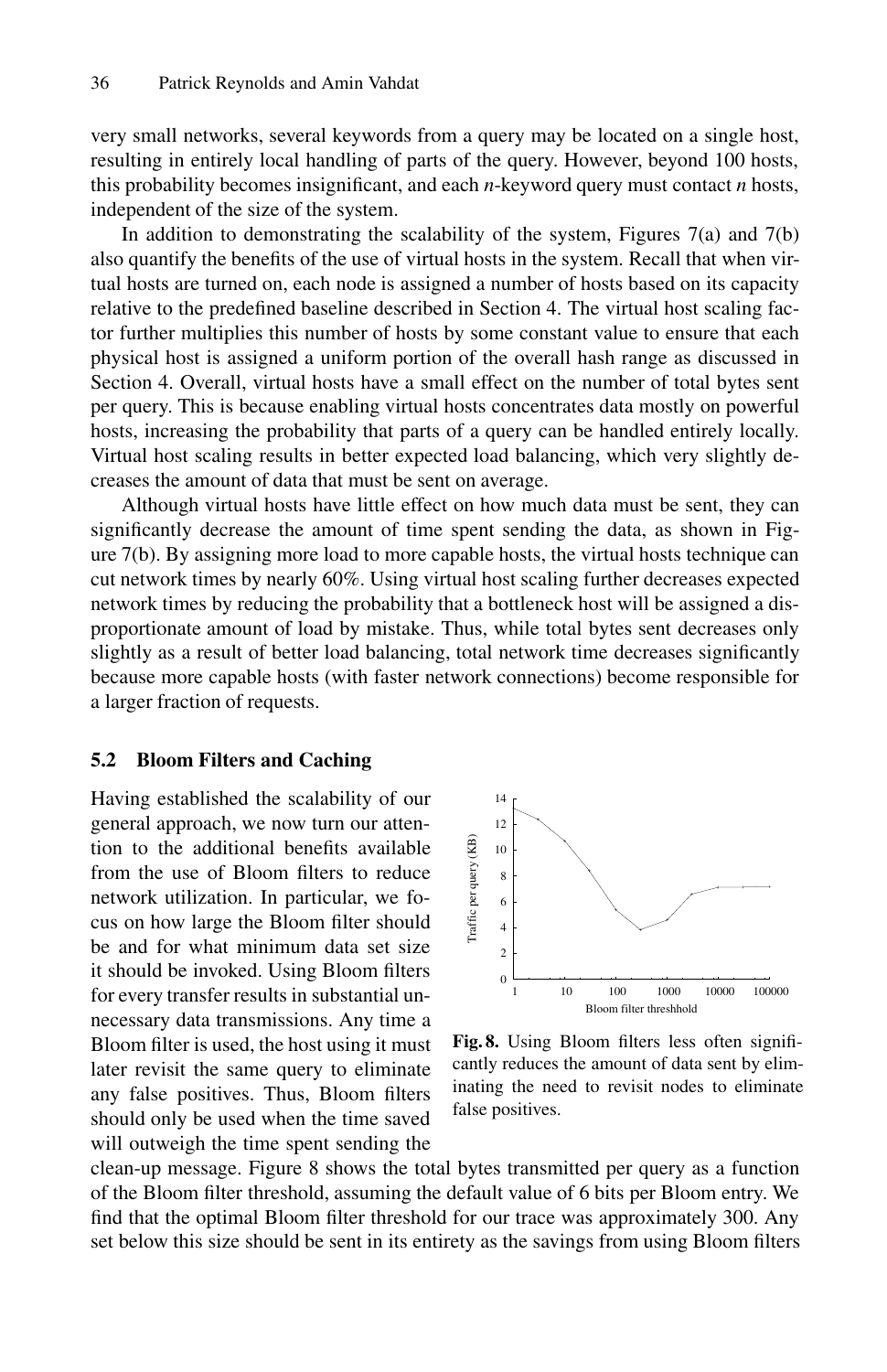very small networks, several keywords from a query may be located on a single host, resulting in entirely local handling of parts of the query. However, beyond 100 hosts, this probability becomes insignificant, and each *n*-keyword query must contact *n* hosts, independent of the size of the system.

In addition to demonstrating the scalability of the system, Figures  $7(a)$  and  $7(b)$ also quantify the benefits of the use of virtual hosts in the system. Recall that when virtual hosts are turned on, each node is assigned a number of hosts based on its capacity relative to the predefined baseline described in Section 4. The virtual host scaling factor further multiplies this number of hosts by some constant value to ensure that each physical host is assigned a uniform portion of the overall hash range as discussed in Section 4. Overall, virtual hosts have a small effect on the number of total bytes sent per query. This is because enabling virtual hosts concentrates data mostly on powerful hosts, increasing the probability that parts of a query can be handled entirely locally. Virtual host scaling results in better expected load balancing, which very slightly decreases the amount of data that must be sent on average.

Although virtual hosts have little effect on how much data must be sent, they can significantly decrease the amount of time spent sending the data, as shown in Figure 7(b). By assigning more load to more capable hosts, the virtual hosts technique can cut network times by nearly 60%. Using virtual host scaling further decreases expected network times by reducing the probability that a bottleneck host will be assigned a disproportionate amount of load by mistake. Thus, while total bytes sent decreases only slightly as a result of better load balancing, total network time decreases significantly because more capable hosts (with faster network connections) become responsible for a larger fraction of requests.

#### **5.2 Bloom Filters and Caching**

Having established the scalability of our general approach, we now turn our attention to the additional benefits available from the use of Bloom filters to reduce network utilization. In particular, we focus on how large the Bloom filter should be and for what minimum data set size it should be invoked. Using Bloom filters for every transfer results in substantial unnecessary data transmissions. Any time a Bloom filter is used, the host using it must later revisit the same query to eliminate any false positives. Thus, Bloom filters should only be used when the time saved will outweigh the time spent sending the



**Fig. 8.** Using Bloom filters less often significantly reduces the amount of data sent by eliminating the need to revisit nodes to eliminate false positives.

clean-up message. Figure 8 shows the total bytes transmitted per query as a function of the Bloom filter threshold, assuming the default value of 6 bits per Bloom entry. We find that the optimal Bloom filter threshold for our trace was approximately 300. Any set below this size should be sent in its entirety as the savings from using Bloom filters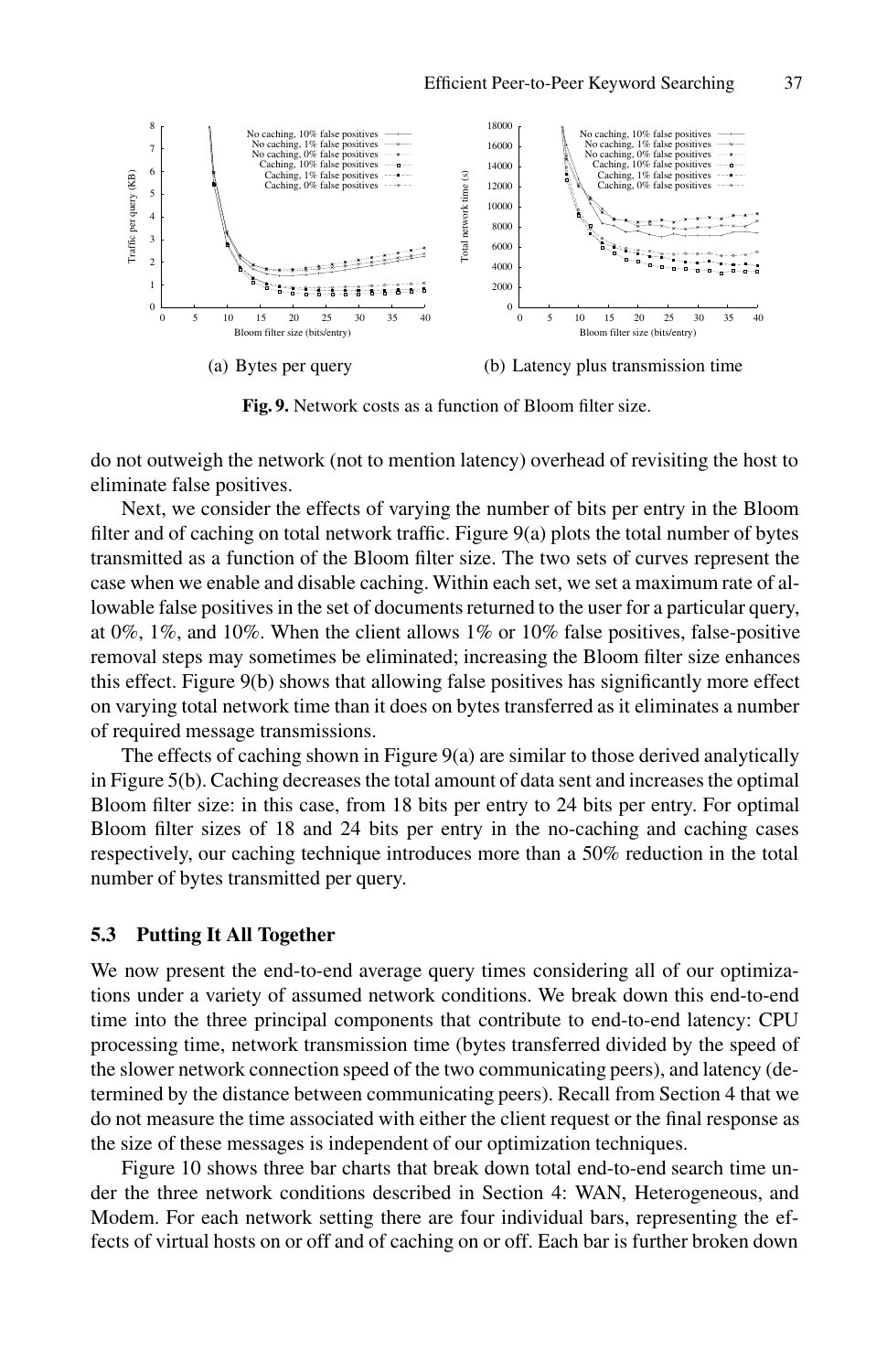

**Fig. 9.** Network costs as a function of Bloom filter size.

do not outweigh the network (not to mention latency) overhead of revisiting the host to eliminate false positives.

Next, we consider the effects of varying the number of bits per entry in the Bloom filter and of caching on total network traffic. Figure  $9(a)$  plots the total number of bytes transmitted as a function of the Bloom filter size. The two sets of curves represent the case when we enable and disable caching. Within each set, we set a maximum rate of allowable false positives in the set of documents returned to the user for a particular query, at 0%, 1%, and 10%. When the client allows 1% or 10% false positives, false-positive removal steps may sometimes be eliminated; increasing the Bloom filter size enhances this effect. Figure 9(b) shows that allowing false positives has significantly more effect on varying total network time than it does on bytes transferred as it eliminates a number of required message transmissions.

The effects of caching shown in Figure 9(a) are similar to those derived analytically in Figure 5(b). Caching decreases the total amount of data sent and increases the optimal Bloom filter size: in this case, from 18 bits per entry to 24 bits per entry. For optimal Bloom filter sizes of 18 and 24 bits per entry in the no-caching and caching cases respectively, our caching technique introduces more than a 50% reduction in the total number of bytes transmitted per query.

#### **5.3 Putting It All Together**

We now present the end-to-end average query times considering all of our optimizations under a variety of assumed network conditions. We break down this end-to-end time into the three principal components that contribute to end-to-end latency: CPU processing time, network transmission time (bytes transferred divided by the speed of the slower network connection speed of the two communicating peers), and latency (determined by the distance between communicating peers). Recall from Section 4 that we do not measure the time associated with either the client request or the final response as the size of these messages is independent of our optimization techniques.

Figure 10 shows three bar charts that break down total end-to-end search time under the three network conditions described in Section 4: WAN, Heterogeneous, and Modem. For each network setting there are four individual bars, representing the effects of virtual hosts on or off and of caching on or off. Each bar is further broken down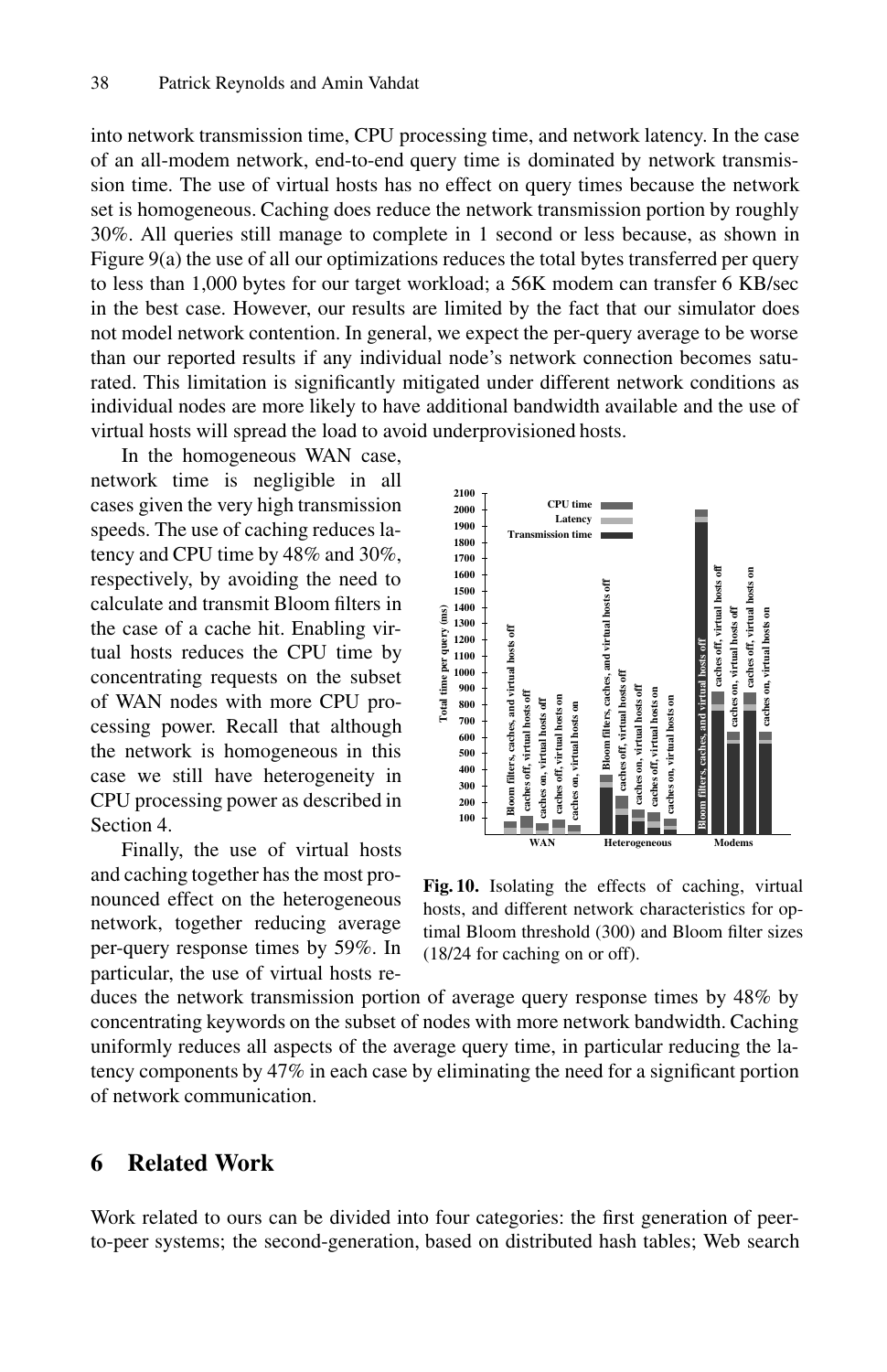into network transmission time, CPU processing time, and network latency. In the case of an all-modem network, end-to-end query time is dominated by network transmission time. The use of virtual hosts has no effect on query times because the network set is homogeneous. Caching does reduce the network transmission portion by roughly 30%. All queries still manage to complete in 1 second or less because, as shown in Figure 9(a) the use of all our optimizations reduces the total bytes transferred per query to less than 1,000 bytes for our target workload; a 56K modem can transfer 6 KB/sec in the best case. However, our results are limited by the fact that our simulator does not model network contention. In general, we expect the per-query average to be worse than our reported results if any individual node's network connection becomes saturated. This limitation is significantly mitigated under different network conditions as individual nodes are more likely to have additional bandwidth available and the use of virtual hosts will spread the load to avoid underprovisioned hosts.

In the homogeneous WAN case, network time is negligible in all cases given the very high transmission speeds. The use of caching reduces latency and CPU time by 48% and 30%, respectively, by avoiding the need to calculate and transmit Bloom filters in the case of a cache hit. Enabling virtual hosts reduces the CPU time by concentrating requests on the subset of WAN nodes with more CPU processing power. Recall that although the network is homogeneous in this case we still have heterogeneity in CPU processing power as described in Section 4.

Finally, the use of virtual hosts and caching together has the most pronounced effect on the heterogeneous network, together reducing average per-query response times by 59%. In particular, the use of virtual hosts re-



**Fig. 10.** Isolating the effects of caching, virtual hosts, and different network characteristics for optimal Bloom threshold (300) and Bloom filter sizes (18/24 for caching on or off).

duces the network transmission portion of average query response times by 48% by concentrating keywords on the subset of nodes with more network bandwidth. Caching uniformly reduces all aspects of the average query time, in particular reducing the latency components by 47% in each case by eliminating the need for a significant portion of network communication.

## **6 Related Work**

Work related to ours can be divided into four categories: the first generation of peerto-peer systems; the second-generation, based on distributed hash tables; Web search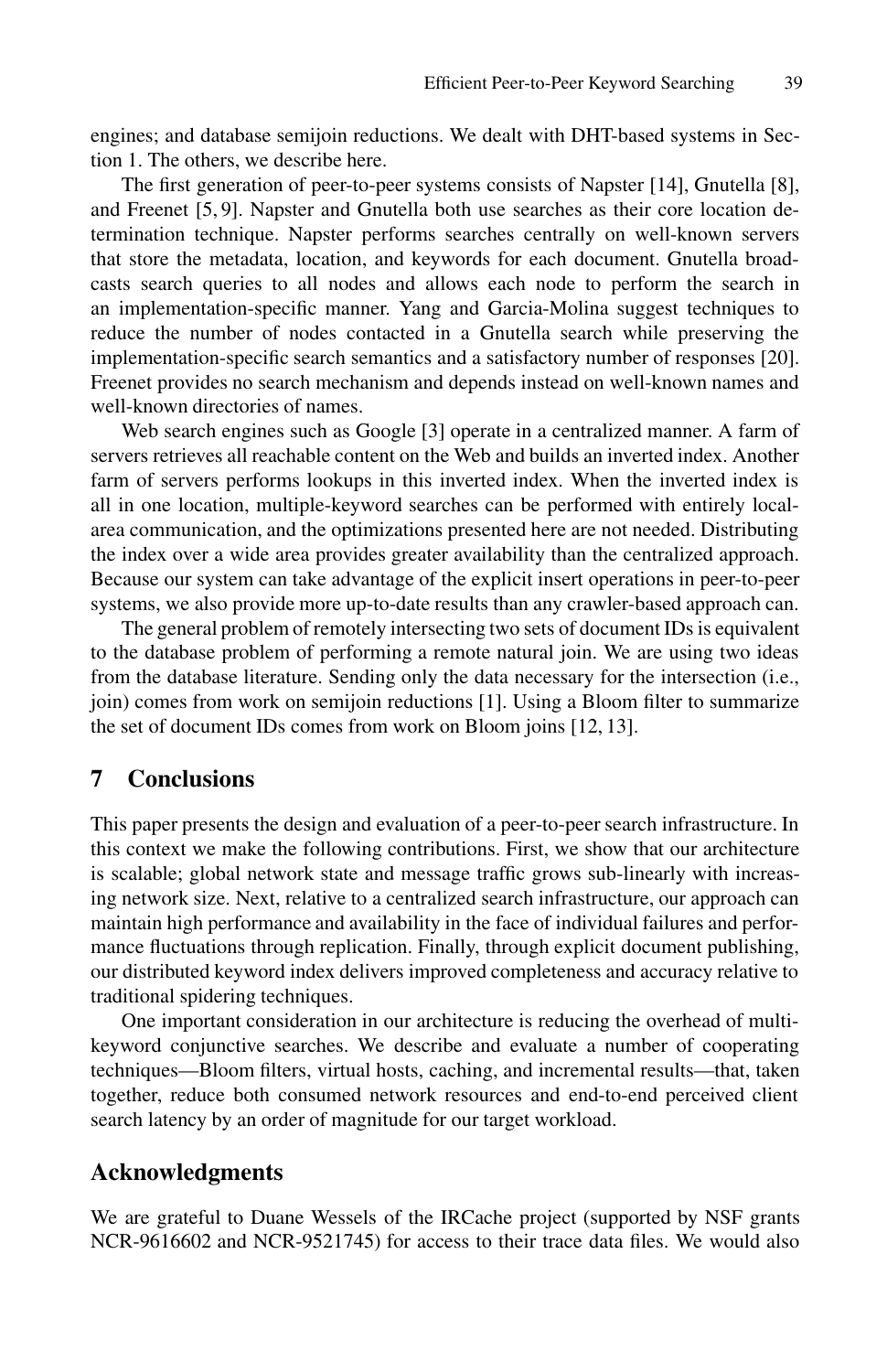engines; and database semijoin reductions. We dealt with DHT-based systems in Section 1. The others, we describe here.

The first generation of peer-to-peer systems consists of Napster [14], Gnutella [8], and Freenet [5, 9]. Napster and Gnutella both use searches as their core location determination technique. Napster performs searches centrally on well-known servers that store the metadata, location, and keywords for each document. Gnutella broadcasts search queries to all nodes and allows each node to perform the search in an implementation-specific manner. Yang and Garcia-Molina suggest techniques to reduce the number of nodes contacted in a Gnutella search while preserving the implementation-specific search semantics and a satisfactory number of responses [20]. Freenet provides no search mechanism and depends instead on well-known names and well-known directories of names.

Web search engines such as Google [3] operate in a centralized manner. A farm of servers retrieves all reachable content on the Web and builds an inverted index. Another farm of servers performs lookups in this inverted index. When the inverted index is all in one location, multiple-keyword searches can be performed with entirely localarea communication, and the optimizations presented here are not needed. Distributing the index over a wide area provides greater availability than the centralized approach. Because our system can take advantage of the explicit insert operations in peer-to-peer systems, we also provide more up-to-date results than any crawler-based approach can.

The general problem of remotely intersecting two sets of document IDs is equivalent to the database problem of performing a remote natural join. We are using two ideas from the database literature. Sending only the data necessary for the intersection (i.e., join) comes from work on semijoin reductions [1]. Using a Bloom filter to summarize the set of document IDs comes from work on Bloom joins [12, 13].

## **7 Conclusions**

This paper presents the design and evaluation of a peer-to-peer search infrastructure. In this context we make the following contributions. First, we show that our architecture is scalable; global network state and message traffic grows sub-linearly with increasing network size. Next, relative to a centralized search infrastructure, our approach can maintain high performance and availability in the face of individual failures and performance fluctuations through replication. Finally, through explicit document publishing, our distributed keyword index delivers improved completeness and accuracy relative to traditional spidering techniques.

One important consideration in our architecture is reducing the overhead of multikeyword conjunctive searches. We describe and evaluate a number of cooperating techniques—Bloom filters, virtual hosts, caching, and incremental results—that, taken together, reduce both consumed network resources and end-to-end perceived client search latency by an order of magnitude for our target workload.

### **Acknowledgments**

We are grateful to Duane Wessels of the IRCache project (supported by NSF grants NCR-9616602 and NCR-9521745) for access to their trace data files. We would also